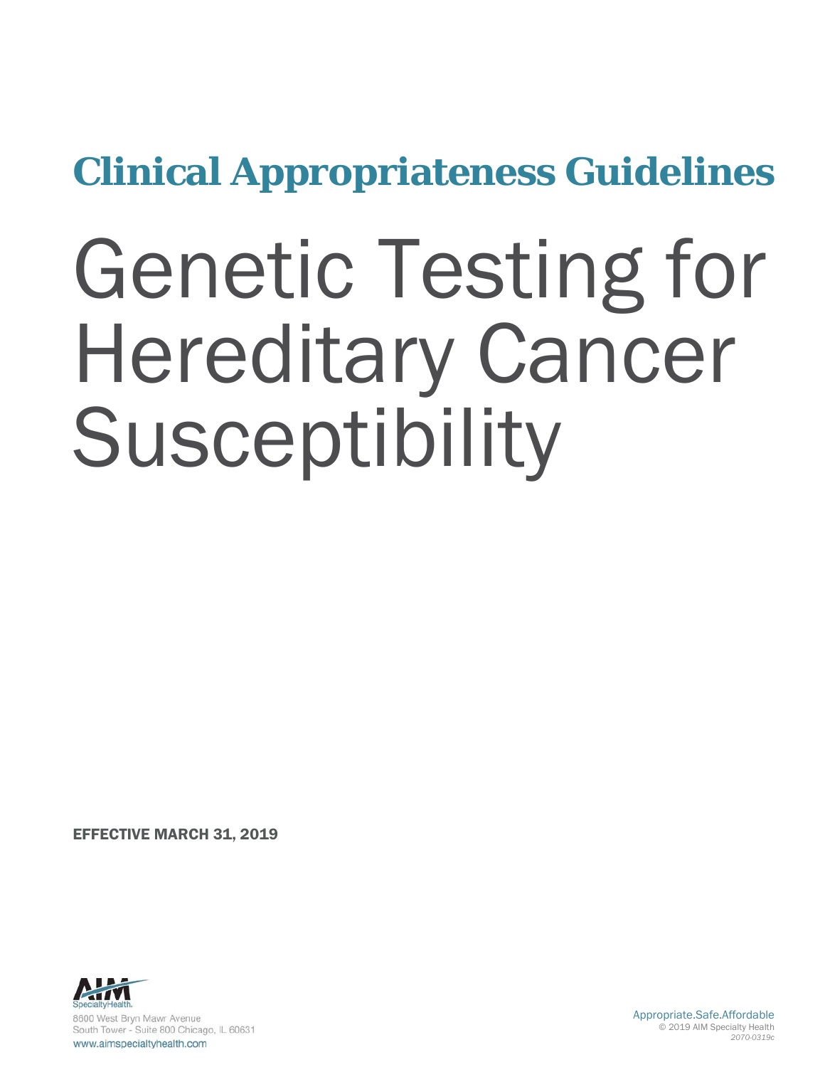**Clinical Appropriateness Guidelines**

# Genetic Testing for Hereditary Cancer Susceptibility

EFFECTIVE MARCH 31, 2019



Appropriate.Safe.Affordable © 2019 AIM Specialty Health *2070-0319c*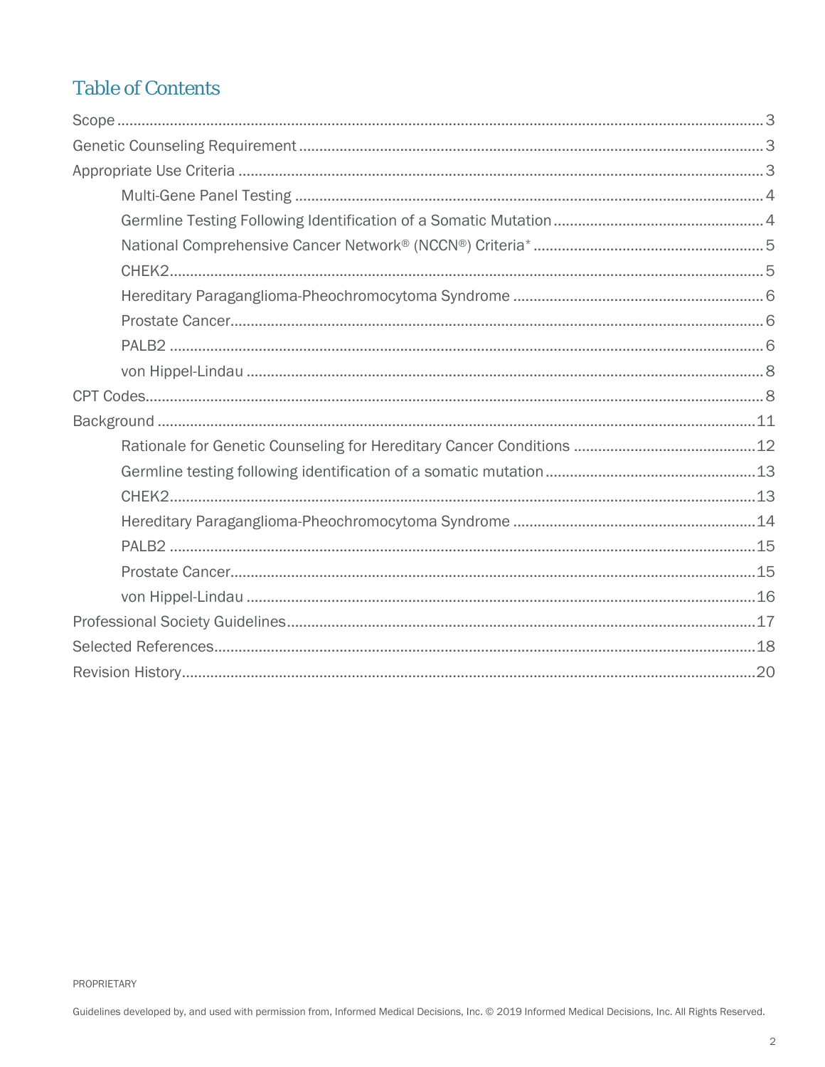#### **Table of Contents**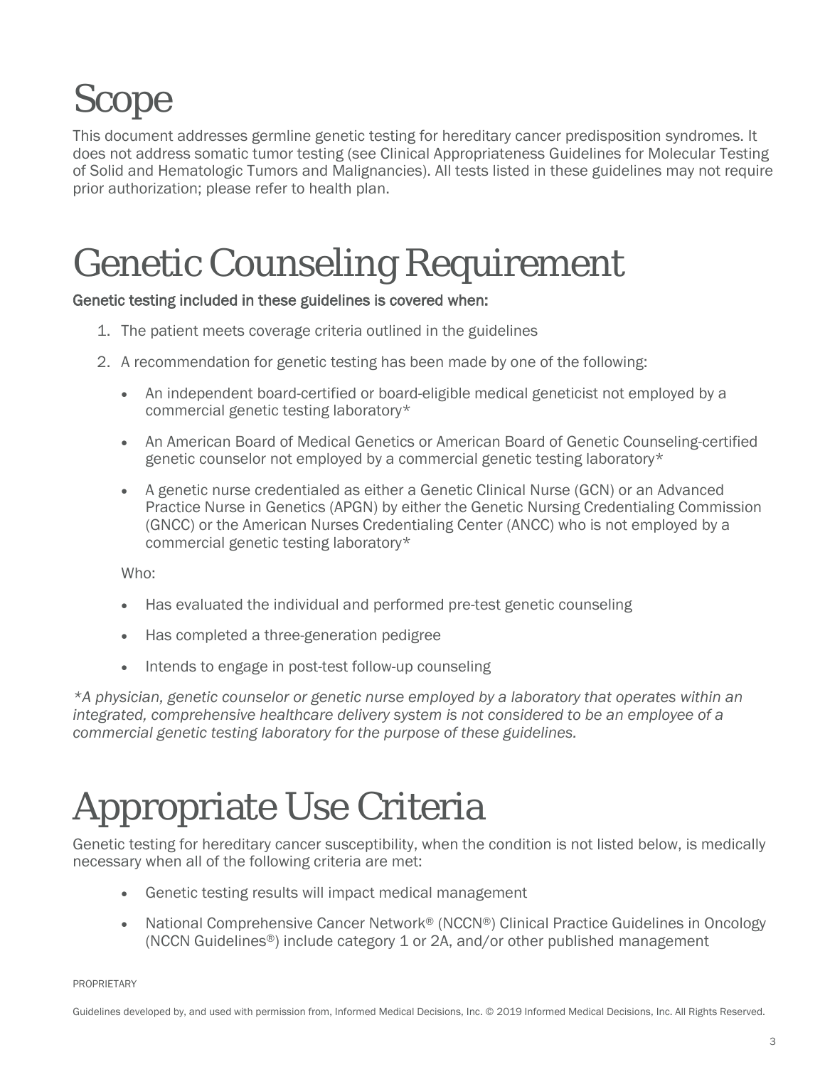# <span id="page-2-0"></span>Scope

This document addresses germline genetic testing for hereditary cancer predisposition syndromes. It does not address somatic tumor testing (see Clinical Appropriateness Guidelines for Molecular Testing of Solid and Hematologic Tumors and Malignancies). All tests listed in these guidelines may not require prior authorization; please refer to health plan.

# <span id="page-2-1"></span>Genetic Counseling Requirement

#### Genetic testing included in these guidelines is covered when:

- 1. The patient meets coverage criteria outlined in the guidelines
- 2. A recommendation for genetic testing has been made by one of the following:
	- An independent board-certified or board-eligible medical geneticist not employed by a commercial genetic testing laboratory\*
	- An American Board of Medical Genetics or American Board of Genetic Counseling-certified genetic counselor not employed by a commercial genetic testing laboratory\*
	- A genetic nurse credentialed as either a Genetic Clinical Nurse (GCN) or an Advanced Practice Nurse in Genetics (APGN) by either the Genetic Nursing Credentialing Commission (GNCC) or the American Nurses Credentialing Center (ANCC) who is not employed by a commercial genetic testing laboratory\*

Who:

- Has evaluated the individual and performed pre-test genetic counseling
- Has completed a three-generation pedigree
- Intends to engage in post-test follow-up counseling

*\*A physician, genetic counselor or genetic nurse employed by a laboratory that operates within an integrated, comprehensive healthcare delivery system is not considered to be an employee of a commercial genetic testing laboratory for the purpose of these guidelines.*

### Appropriate Use Criteria

Genetic testing for hereditary cancer susceptibility, when the condition is not listed below, is medically necessary when all of the following criteria are met:

- Genetic testing results will impact medical management
- National Comprehensive Cancer Network® (NCCN®) Clinical Practice Guidelines in Oncology (NCCN Guidelines®) include category 1 or 2A, and/or other published management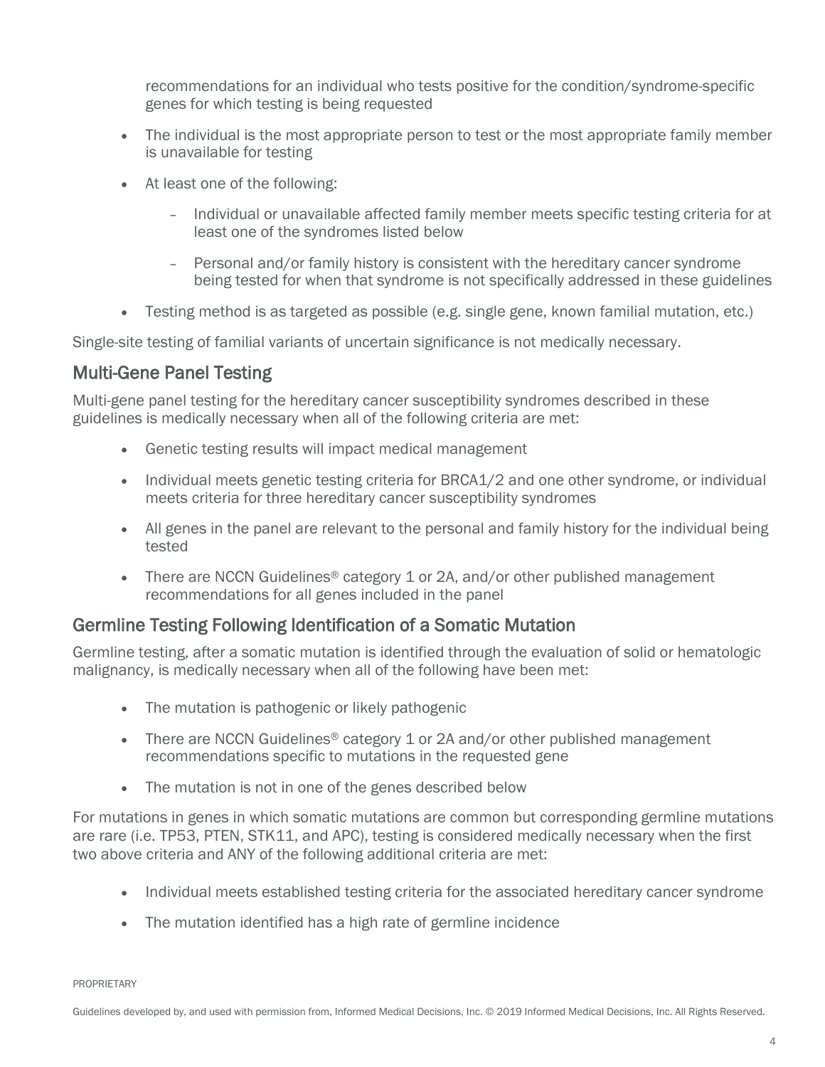recommendations for an individual who tests positive for the condition/syndrome-specific genes for which testing is being requested

- The individual is the most appropriate person to test or the most appropriate family member is unavailable for testing
- At least one of the following:
	- Individual or unavailable affected family member meets specific testing criteria for at least one of the syndromes listed below
	- Personal and/or family history is consistent with the hereditary cancer syndrome being tested for when that syndrome is not specifically addressed in these guidelines
- Testing method is as targeted as possible (e.g. single gene, known familial mutation, etc.)

Single-site testing of familial variants of uncertain significance is not medically necessary.

#### <span id="page-3-0"></span>Multi-Gene Panel Testing

Multi-gene panel testing for the hereditary cancer susceptibility syndromes described in these guidelines is medically necessary when all of the following criteria are met:

- Genetic testing results will impact medical management
- Individual meets genetic testing criteria for BRCA1/2 and one other syndrome, or individual meets criteria for three hereditary cancer susceptibility syndromes
- All genes in the panel are relevant to the personal and family history for the individual being tested
- There are NCCN Guidelines<sup>®</sup> category 1 or 2A, and/or other published management recommendations for all genes included in the panel

#### <span id="page-3-1"></span>Germline Testing Following Identification of a Somatic Mutation

Germline testing, after a somatic mutation is identified through the evaluation of solid or hematologic malignancy, is medically necessary when all of the following have been met:

- The mutation is pathogenic or likely pathogenic
- There are NCCN Guidelines<sup>®</sup> category 1 or 2A and/or other published management recommendations specific to mutations in the requested gene
- The mutation is not in one of the genes described below

For mutations in genes in which somatic mutations are common but corresponding germline mutations are rare (i.e. TP53, PTEN, STK11, and APC), testing is considered medically necessary when the first two above criteria and ANY of the following additional criteria are met:

- Individual meets established testing criteria for the associated hereditary cancer syndrome
- The mutation identified has a high rate of germline incidence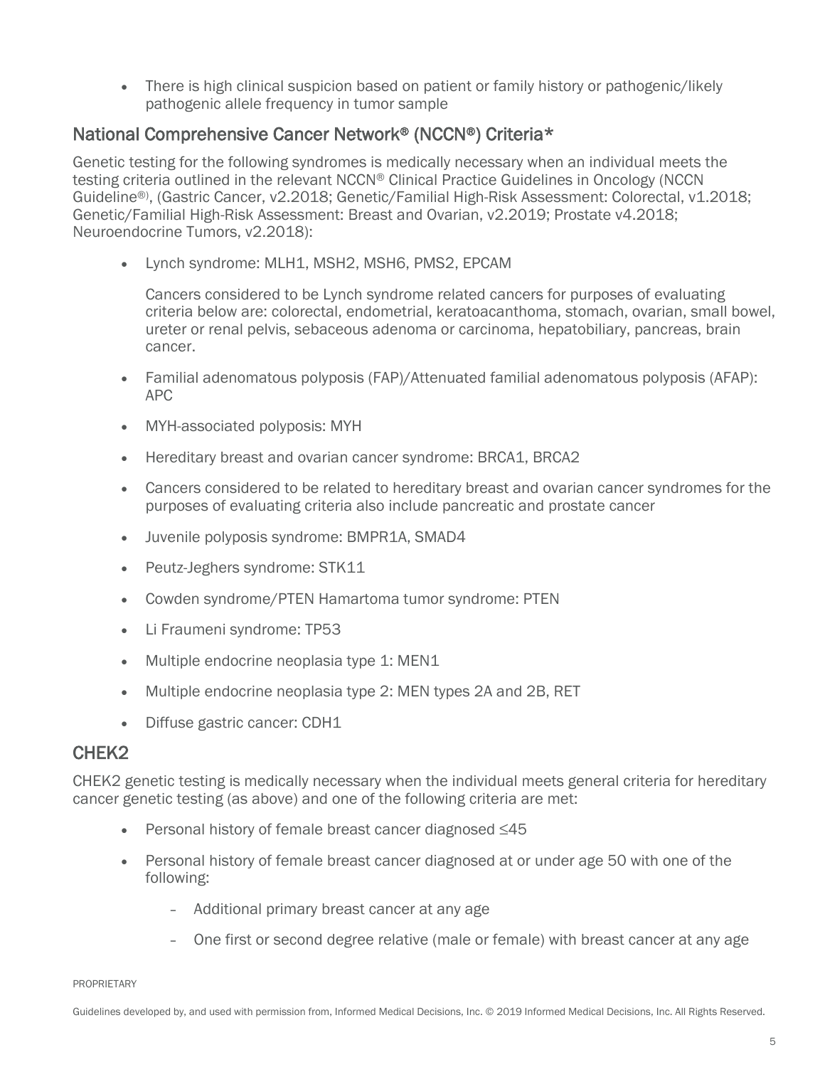• There is high clinical suspicion based on patient or family history or pathogenic/likely pathogenic allele frequency in tumor sample

#### <span id="page-4-0"></span>National Comprehensive Cancer Network® (NCCN®) Criteria\*

Genetic testing for the following syndromes is medically necessary when an individual meets the testing criteria outlined in the relevant NCCN® Clinical Practice Guidelines in Oncology (NCCN Guideline®) , (Gastric Cancer, v2.2018; Genetic/Familial High-Risk Assessment: Colorectal, v1.2018; Genetic/Familial High-Risk Assessment: Breast and Ovarian, v2.2019; Prostate v4.2018; Neuroendocrine Tumors, v2.2018):

• Lynch syndrome: MLH1, MSH2, MSH6, PMS2, EPCAM

Cancers considered to be Lynch syndrome related cancers for purposes of evaluating criteria below are: colorectal, endometrial, keratoacanthoma, stomach, ovarian, small bowel, ureter or renal pelvis, sebaceous adenoma or carcinoma, hepatobiliary, pancreas, brain cancer.

- Familial adenomatous polyposis (FAP)/Attenuated familial adenomatous polyposis (AFAP): APC
- MYH-associated polyposis: MYH
- Hereditary breast and ovarian cancer syndrome: BRCA1, BRCA2
- Cancers considered to be related to hereditary breast and ovarian cancer syndromes for the purposes of evaluating criteria also include pancreatic and prostate cancer
- Juvenile polyposis syndrome: BMPR1A, SMAD4
- Peutz-Jeghers syndrome: STK11
- Cowden syndrome/PTEN Hamartoma tumor syndrome: PTEN
- Li Fraumeni syndrome: TP53
- Multiple endocrine neoplasia type 1: MEN1
- Multiple endocrine neoplasia type 2: MEN types 2A and 2B, RET
- Diffuse gastric cancer: CDH1

#### <span id="page-4-1"></span>CHEK2

CHEK2 genetic testing is medically necessary when the individual meets general criteria for hereditary cancer genetic testing (as above) and one of the following criteria are met:

- Personal history of female breast cancer diagnosed ≤45
- Personal history of female breast cancer diagnosed at or under age 50 with one of the following:
	- Additional primary breast cancer at any age
	- One first or second degree relative (male or female) with breast cancer at any age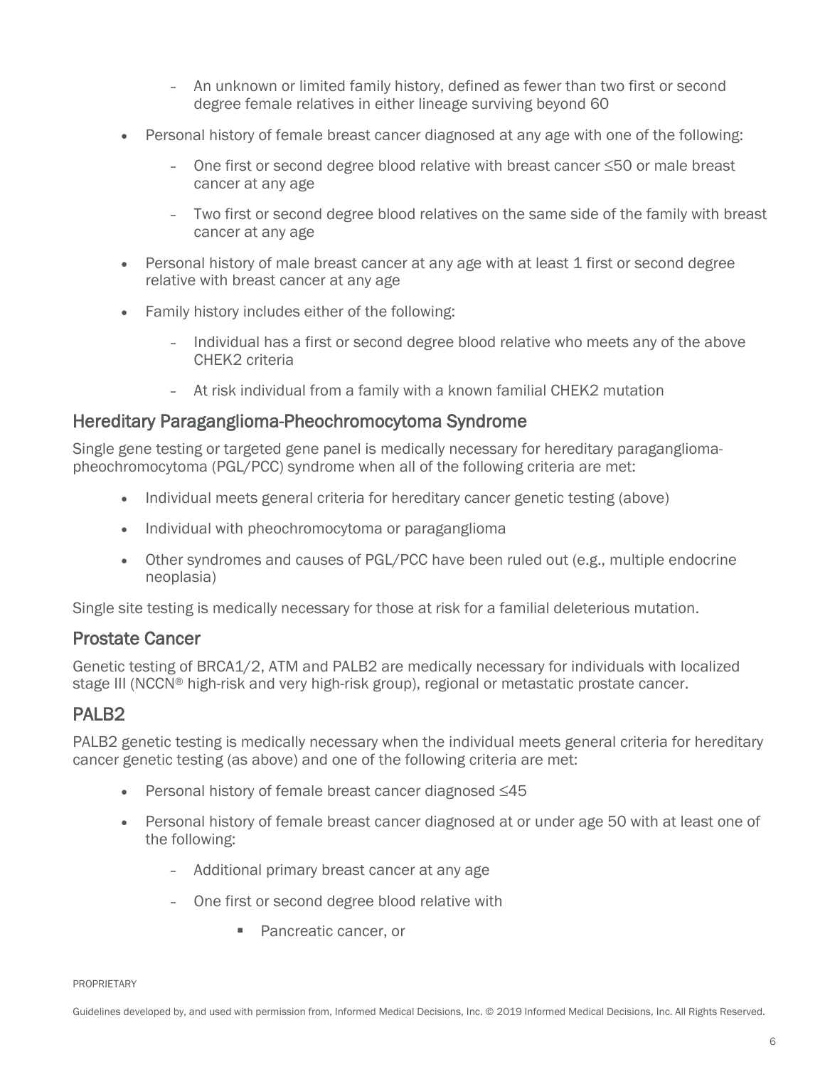- An unknown or limited family history, defined as fewer than two first or second degree female relatives in either lineage surviving beyond 60
- Personal history of female breast cancer diagnosed at any age with one of the following:
	- One first or second degree blood relative with breast cancer ≤50 or male breast cancer at any age
	- Two first or second degree blood relatives on the same side of the family with breast cancer at any age
- Personal history of male breast cancer at any age with at least 1 first or second degree relative with breast cancer at any age
- Family history includes either of the following:
	- Individual has a first or second degree blood relative who meets any of the above CHEK2 criteria
	- At risk individual from a family with a known familial CHEK2 mutation

#### <span id="page-5-0"></span>Hereditary Paraganglioma-Pheochromocytoma Syndrome

Single gene testing or targeted gene panel is medically necessary for hereditary paragangliomapheochromocytoma (PGL/PCC) syndrome when all of the following criteria are met:

- Individual meets general criteria for hereditary cancer genetic testing (above)
- Individual with pheochromocytoma or paraganglioma
- Other syndromes and causes of PGL/PCC have been ruled out (e.g., multiple endocrine neoplasia)

Single site testing is medically necessary for those at risk for a familial deleterious mutation.

#### <span id="page-5-1"></span>Prostate Cancer

Genetic testing of BRCA1/2, ATM and PALB2 are medically necessary for individuals with localized stage III (NCCN® high-risk and very high-risk group), regional or metastatic prostate cancer.

#### <span id="page-5-2"></span>PALB2

PALB2 genetic testing is medically necessary when the individual meets general criteria for hereditary cancer genetic testing (as above) and one of the following criteria are met:

- Personal history of female breast cancer diagnosed ≤45
- Personal history of female breast cancer diagnosed at or under age 50 with at least one of the following:
	- Additional primary breast cancer at any age
	- One first or second degree blood relative with
		- Pancreatic cancer, or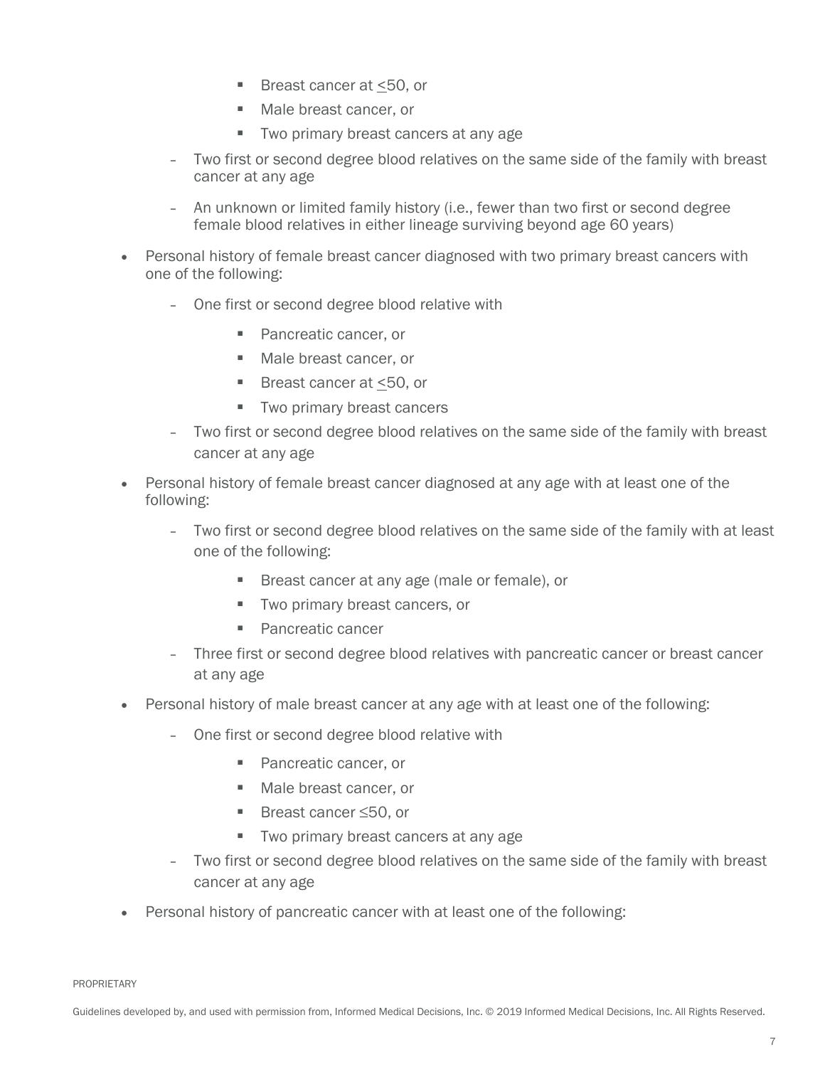- Breast cancer at  $\leq$ 50, or
- Male breast cancer, or
- Two primary breast cancers at any age
- Two first or second degree blood relatives on the same side of the family with breast cancer at any age
- An unknown or limited family history (i.e., fewer than two first or second degree female blood relatives in either lineage surviving beyond age 60 years)
- Personal history of female breast cancer diagnosed with two primary breast cancers with one of the following:
	- One first or second degree blood relative with
		- **Pancreatic cancer, or**
		- **Male breast cancer, or**
		- Breast cancer at <50, or
		- **Two primary breast cancers**
	- Two first or second degree blood relatives on the same side of the family with breast cancer at any age
- Personal history of female breast cancer diagnosed at any age with at least one of the following:
	- Two first or second degree blood relatives on the same side of the family with at least one of the following:
		- Breast cancer at any age (male or female), or
		- **Two primary breast cancers, or**
		- **Pancreatic cancer**
	- Three first or second degree blood relatives with pancreatic cancer or breast cancer at any age
- Personal history of male breast cancer at any age with at least one of the following:
	- One first or second degree blood relative with
		- **Pancreatic cancer, or**
		- Male breast cancer, or
		- Breast cancer ≤50, or
		- **Two primary breast cancers at any age**
	- Two first or second degree blood relatives on the same side of the family with breast cancer at any age
- Personal history of pancreatic cancer with at least one of the following: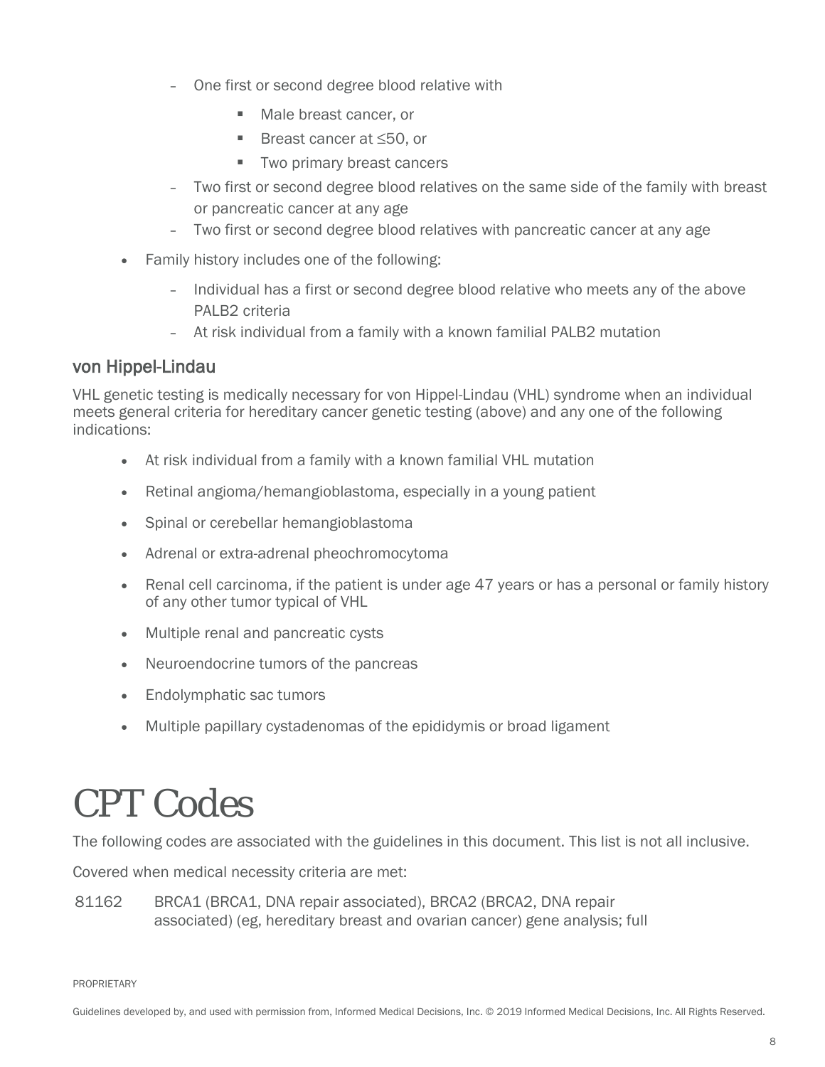- One first or second degree blood relative with
	- **Male breast cancer, or**
	- Breast cancer at ≤50, or
	- **Two primary breast cancers**
- Two first or second degree blood relatives on the same side of the family with breast or pancreatic cancer at any age
- Two first or second degree blood relatives with pancreatic cancer at any age
- Family history includes one of the following:
	- Individual has a first or second degree blood relative who meets any of the above PALB2 criteria
	- At risk individual from a family with a known familial PALB2 mutation

#### <span id="page-7-0"></span>von Hippel-Lindau

VHL genetic testing is medically necessary for von Hippel-Lindau (VHL) syndrome when an individual meets general criteria for hereditary cancer genetic testing (above) and any one of the following indications:

- At risk individual from a family with a known familial VHL mutation
- Retinal angioma/hemangioblastoma, especially in a young patient
- Spinal or cerebellar hemangioblastoma
- Adrenal or extra-adrenal pheochromocytoma
- Renal cell carcinoma, if the patient is under age 47 years or has a personal or family history of any other tumor typical of VHL
- Multiple renal and pancreatic cysts
- Neuroendocrine tumors of the pancreas
- Endolymphatic sac tumors
- Multiple papillary cystadenomas of the epididymis or broad ligament

### <span id="page-7-1"></span>CPT Codes

The following codes are associated with the guidelines in this document. This list is not all inclusive.

Covered when medical necessity criteria are met:

81162 BRCA1 (BRCA1, DNA repair associated), BRCA2 (BRCA2, DNA repair associated) (eg, hereditary breast and ovarian cancer) gene analysis; full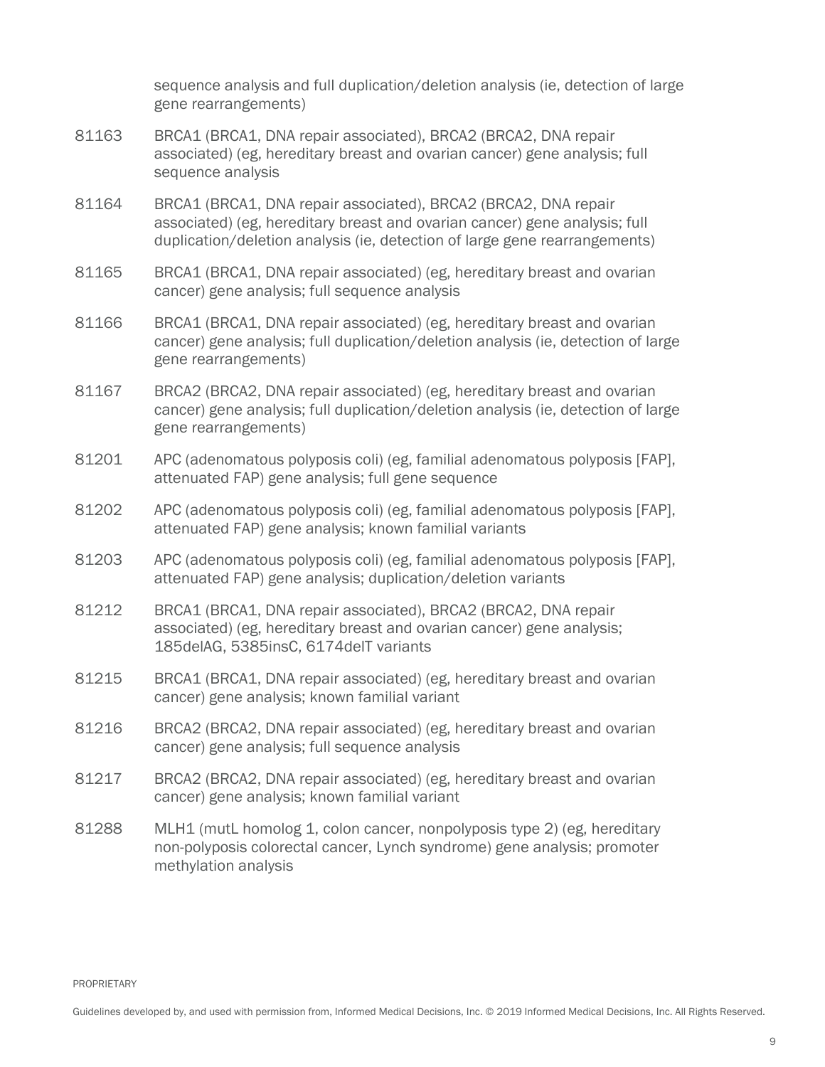sequence analysis and full duplication/deletion analysis (ie, detection of large gene rearrangements)

- 81163 BRCA1 (BRCA1, DNA repair associated), BRCA2 (BRCA2, DNA repair associated) (eg, hereditary breast and ovarian cancer) gene analysis; full sequence analysis
- 81164 BRCA1 (BRCA1, DNA repair associated), BRCA2 (BRCA2, DNA repair associated) (eg, hereditary breast and ovarian cancer) gene analysis; full duplication/deletion analysis (ie, detection of large gene rearrangements)
- 81165 BRCA1 (BRCA1, DNA repair associated) (eg, hereditary breast and ovarian cancer) gene analysis; full sequence analysis
- 81166 BRCA1 (BRCA1, DNA repair associated) (eg, hereditary breast and ovarian cancer) gene analysis; full duplication/deletion analysis (ie, detection of large gene rearrangements)
- 81167 BRCA2 (BRCA2, DNA repair associated) (eg, hereditary breast and ovarian cancer) gene analysis; full duplication/deletion analysis (ie, detection of large gene rearrangements)
- 81201 APC (adenomatous polyposis coli) (eg, familial adenomatous polyposis [FAP], attenuated FAP) gene analysis; full gene sequence
- 81202 APC (adenomatous polyposis coli) (eg, familial adenomatous polyposis [FAP], attenuated FAP) gene analysis; known familial variants
- 81203 APC (adenomatous polyposis coli) (eg, familial adenomatous polyposis [FAP], attenuated FAP) gene analysis; duplication/deletion variants
- 81212 BRCA1 (BRCA1, DNA repair associated), BRCA2 (BRCA2, DNA repair associated) (eg, hereditary breast and ovarian cancer) gene analysis; 185delAG, 5385insC, 6174delT variants
- 81215 BRCA1 (BRCA1, DNA repair associated) (eg, hereditary breast and ovarian cancer) gene analysis; known familial variant
- 81216 BRCA2 (BRCA2, DNA repair associated) (eg, hereditary breast and ovarian cancer) gene analysis; full sequence analysis
- 81217 BRCA2 (BRCA2, DNA repair associated) (eg, hereditary breast and ovarian cancer) gene analysis; known familial variant
- 81288 MLH1 (mutL homolog 1, colon cancer, nonpolyposis type 2) (eg, hereditary non-polyposis colorectal cancer, Lynch syndrome) gene analysis; promoter methylation analysis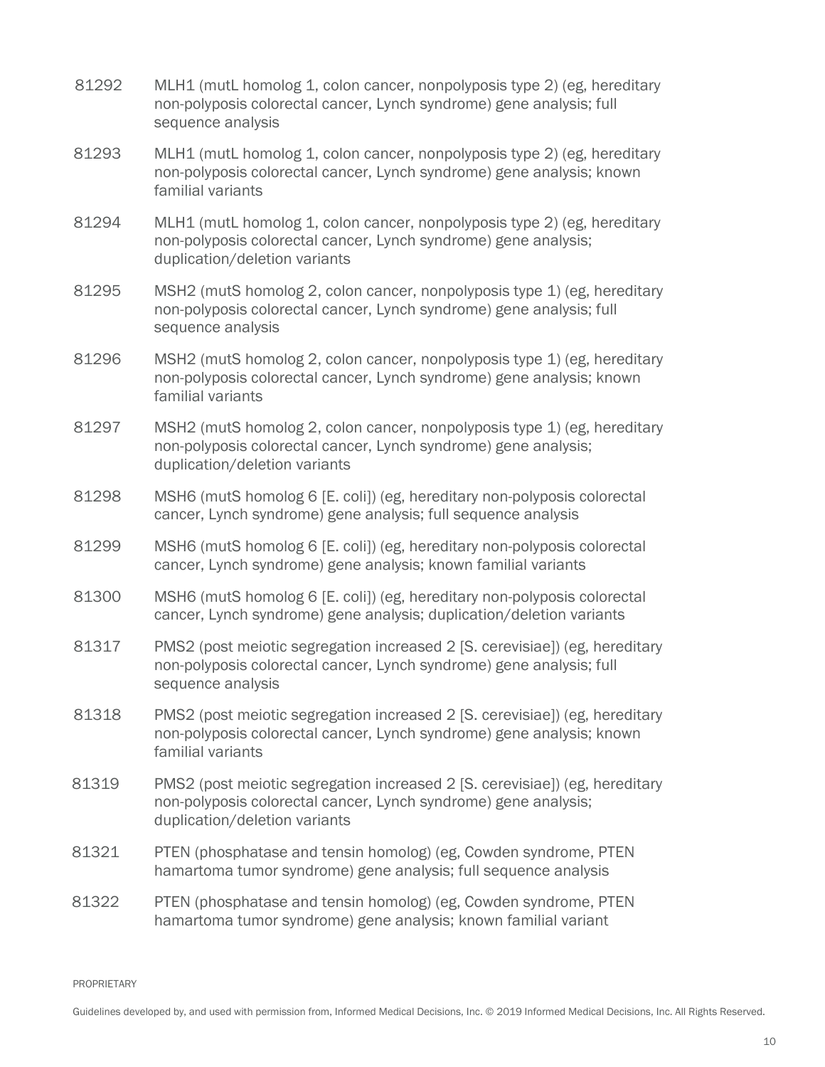- 81292 MLH1 (mutL homolog 1, colon cancer, nonpolyposis type 2) (eg, hereditary non-polyposis colorectal cancer, Lynch syndrome) gene analysis; full sequence analysis
- 81293 MLH1 (mutL homolog 1, colon cancer, nonpolyposis type 2) (eg, hereditary non-polyposis colorectal cancer, Lynch syndrome) gene analysis; known familial variants
- 81294 MLH1 (mutL homolog 1, colon cancer, nonpolyposis type 2) (eg, hereditary non-polyposis colorectal cancer, Lynch syndrome) gene analysis; duplication/deletion variants
- 81295 MSH2 (mutS homolog 2, colon cancer, nonpolyposis type 1) (eg, hereditary non-polyposis colorectal cancer, Lynch syndrome) gene analysis; full sequence analysis
- 81296 MSH2 (mutS homolog 2, colon cancer, nonpolyposis type 1) (eg, hereditary non-polyposis colorectal cancer, Lynch syndrome) gene analysis; known familial variants
- 81297 MSH2 (mutS homolog 2, colon cancer, nonpolyposis type 1) (eg, hereditary non-polyposis colorectal cancer, Lynch syndrome) gene analysis; duplication/deletion variants
- 81298 MSH6 (mutS homolog 6 [E. coli]) (eg, hereditary non-polyposis colorectal cancer, Lynch syndrome) gene analysis; full sequence analysis
- 81299 MSH6 (mutS homolog 6 [E. coli]) (eg, hereditary non-polyposis colorectal cancer, Lynch syndrome) gene analysis; known familial variants
- 81300 MSH6 (mutS homolog 6 [E. coli]) (eg, hereditary non-polyposis colorectal cancer, Lynch syndrome) gene analysis; duplication/deletion variants
- 81317 PMS2 (post meiotic segregation increased 2 [S. cerevisiae]) (eg, hereditary non-polyposis colorectal cancer, Lynch syndrome) gene analysis; full sequence analysis
- 81318 PMS2 (post meiotic segregation increased 2 [S. cerevisiae]) (eg, hereditary non-polyposis colorectal cancer, Lynch syndrome) gene analysis; known familial variants
- 81319 PMS2 (post meiotic segregation increased 2 [S. cerevisiae]) (eg, hereditary non-polyposis colorectal cancer, Lynch syndrome) gene analysis; duplication/deletion variants
- 81321 PTEN (phosphatase and tensin homolog) (eg, Cowden syndrome, PTEN hamartoma tumor syndrome) gene analysis; full sequence analysis
- 81322 PTEN (phosphatase and tensin homolog) (eg, Cowden syndrome, PTEN hamartoma tumor syndrome) gene analysis; known familial variant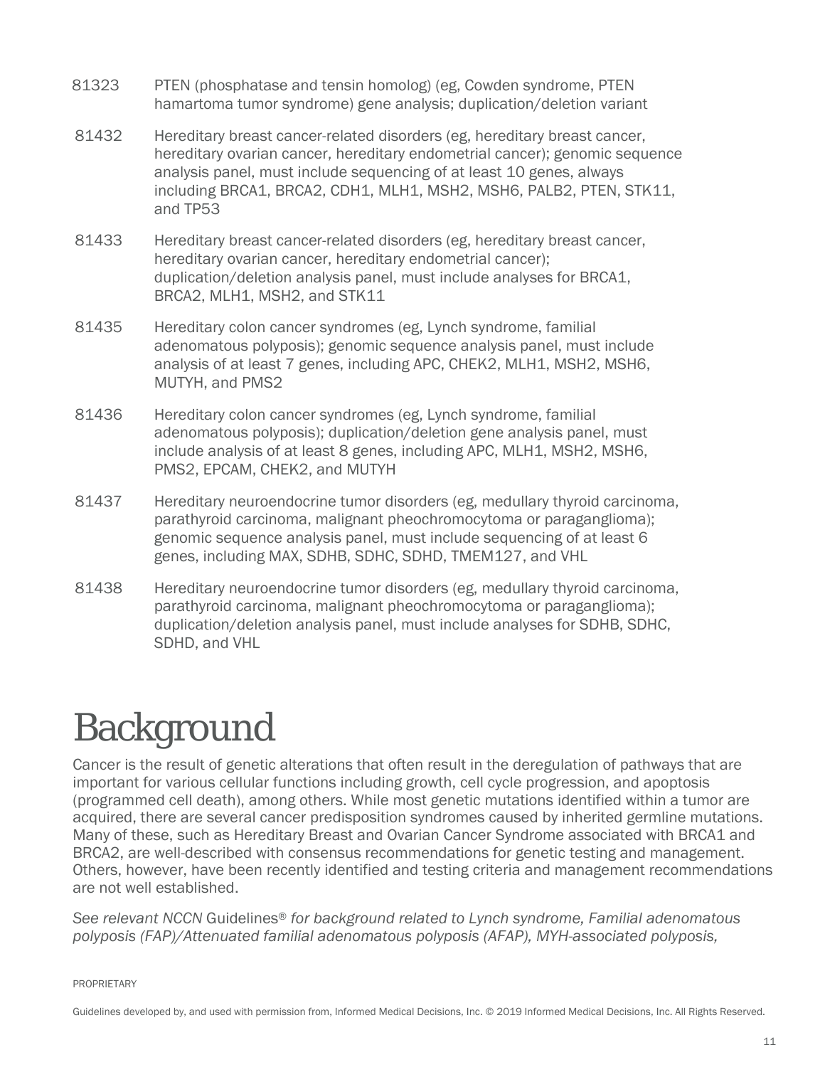- 81323 PTEN (phosphatase and tensin homolog) (eg, Cowden syndrome, PTEN hamartoma tumor syndrome) gene analysis; duplication/deletion variant
- 81432 Hereditary breast cancer-related disorders (eg, hereditary breast cancer, hereditary ovarian cancer, hereditary endometrial cancer); genomic sequence analysis panel, must include sequencing of at least 10 genes, always including BRCA1, BRCA2, CDH1, MLH1, MSH2, MSH6, PALB2, PTEN, STK11, and TP53
- 81433 Hereditary breast cancer-related disorders (eg, hereditary breast cancer, hereditary ovarian cancer, hereditary endometrial cancer); duplication/deletion analysis panel, must include analyses for BRCA1, BRCA2, MLH1, MSH2, and STK11
- 81435 Hereditary colon cancer syndromes (eg, Lynch syndrome, familial adenomatous polyposis); genomic sequence analysis panel, must include analysis of at least 7 genes, including APC, CHEK2, MLH1, MSH2, MSH6, MUTYH, and PMS2
- 81436 Hereditary colon cancer syndromes (eg, Lynch syndrome, familial adenomatous polyposis); duplication/deletion gene analysis panel, must include analysis of at least 8 genes, including APC, MLH1, MSH2, MSH6, PMS2, EPCAM, CHEK2, and MUTYH
- 81437 Hereditary neuroendocrine tumor disorders (eg, medullary thyroid carcinoma, parathyroid carcinoma, malignant pheochromocytoma or paraganglioma); genomic sequence analysis panel, must include sequencing of at least 6 genes, including MAX, SDHB, SDHC, SDHD, TMEM127, and VHL
- 81438 Hereditary neuroendocrine tumor disorders (eg, medullary thyroid carcinoma, parathyroid carcinoma, malignant pheochromocytoma or paraganglioma); duplication/deletion analysis panel, must include analyses for SDHB, SDHC, SDHD, and VHL

# <span id="page-10-0"></span>Background

Cancer is the result of genetic alterations that often result in the deregulation of pathways that are important for various cellular functions including growth, cell cycle progression, and apoptosis (programmed cell death), among others. While most genetic mutations identified within a tumor are acquired, there are several cancer predisposition syndromes caused by inherited germline mutations. Many of these, such as Hereditary Breast and Ovarian Cancer Syndrome associated with BRCA1 and BRCA2, are well-described with consensus recommendations for genetic testing and management. Others, however, have been recently identified and testing criteria and management recommendations are not well established.

*See relevant NCCN* Guidelines® *for background related to Lynch syndrome, Familial adenomatous polyposis (FAP)/Attenuated familial adenomatous polyposis (AFAP), MYH-associated polyposis,*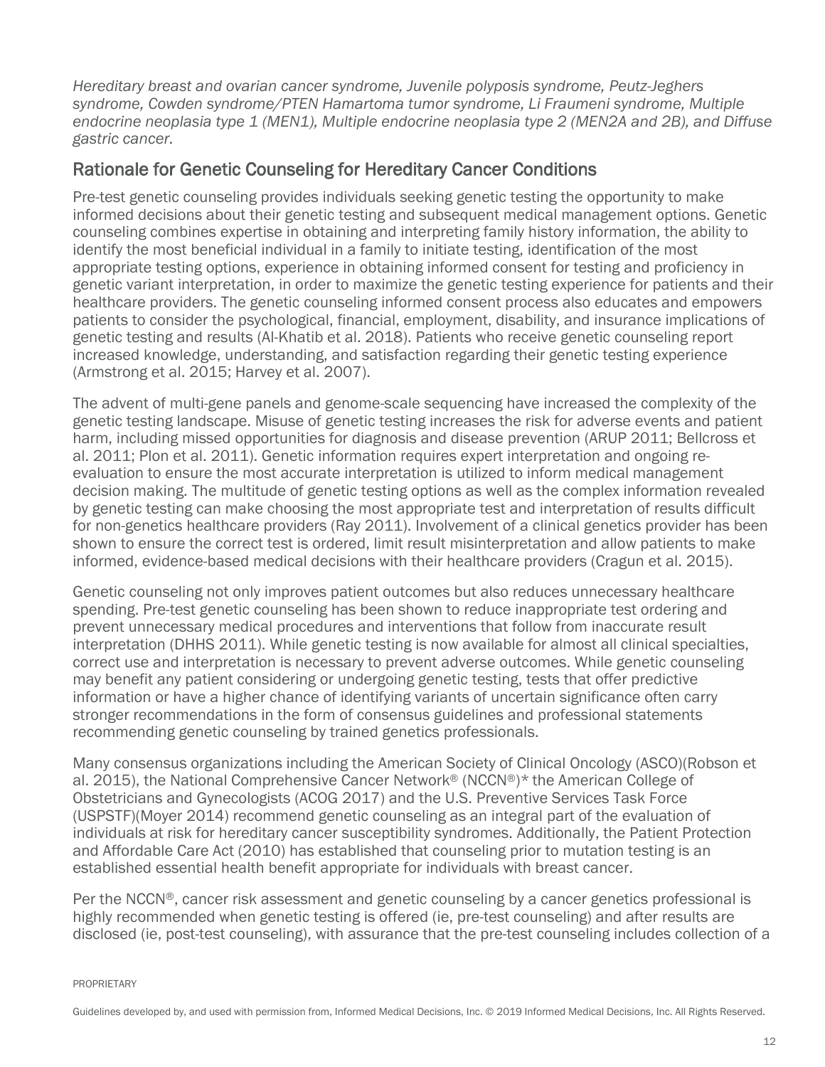*Hereditary breast and ovarian cancer syndrome, Juvenile polyposis syndrome, Peutz-Jeghers syndrome, Cowden syndrome/PTEN Hamartoma tumor syndrome, Li Fraumeni syndrome, Multiple endocrine neoplasia type 1 (MEN1), Multiple endocrine neoplasia type 2 (MEN2A and 2B), and Diffuse gastric cancer.*

#### <span id="page-11-0"></span>Rationale for Genetic Counseling for Hereditary Cancer Conditions

Pre-test genetic counseling provides individuals seeking genetic testing the opportunity to make informed decisions about their genetic testing and subsequent medical management options. Genetic counseling combines expertise in obtaining and interpreting family history information, the ability to identify the most beneficial individual in a family to initiate testing, identification of the most appropriate testing options, experience in obtaining informed consent for testing and proficiency in genetic variant interpretation, in order to maximize the genetic testing experience for patients and their healthcare providers. The genetic counseling informed consent process also educates and empowers patients to consider the psychological, financial, employment, disability, and insurance implications of genetic testing and results (Al-Khatib et al. 2018). Patients who receive genetic counseling report increased knowledge, understanding, and satisfaction regarding their genetic testing experience (Armstrong et al. 2015; Harvey et al. 2007).

The advent of multi-gene panels and genome-scale sequencing have increased the complexity of the genetic testing landscape. Misuse of genetic testing increases the risk for adverse events and patient harm, including missed opportunities for diagnosis and disease prevention (ARUP 2011; Bellcross et al. 2011; Plon et al. 2011). Genetic information requires expert interpretation and ongoing reevaluation to ensure the most accurate interpretation is utilized to inform medical management decision making. The multitude of genetic testing options as well as the complex information revealed by genetic testing can make choosing the most appropriate test and interpretation of results difficult for non-genetics healthcare providers (Ray 2011). Involvement of a clinical genetics provider has been shown to ensure the correct test is ordered, limit result misinterpretation and allow patients to make informed, evidence-based medical decisions with their healthcare providers (Cragun et al. 2015).

Genetic counseling not only improves patient outcomes but also reduces unnecessary healthcare spending. Pre-test genetic counseling has been shown to reduce inappropriate test ordering and prevent unnecessary medical procedures and interventions that follow from inaccurate result interpretation (DHHS 2011). While genetic testing is now available for almost all clinical specialties, correct use and interpretation is necessary to prevent adverse outcomes. While genetic counseling may benefit any patient considering or undergoing genetic testing, tests that offer predictive information or have a higher chance of identifying variants of uncertain significance often carry stronger recommendations in the form of consensus guidelines and professional statements recommending genetic counseling by trained genetics professionals.

Many consensus organizations including the American Society of Clinical Oncology (ASCO)(Robson et al. 2015), the National Comprehensive Cancer Network® (NCCN®)\* the American College of Obstetricians and Gynecologists (ACOG 2017) and the U.S. Preventive Services Task Force (USPSTF)(Moyer 2014) recommend genetic counseling as an integral part of the evaluation of individuals at risk for hereditary cancer susceptibility syndromes. Additionally, the Patient Protection and Affordable Care Act (2010) has established that counseling prior to mutation testing is an established essential health benefit appropriate for individuals with breast cancer.

Per the NCCN®, cancer risk assessment and genetic counseling by a cancer genetics professional is highly recommended when genetic testing is offered (ie, pre-test counseling) and after results are disclosed (ie, post-test counseling), with assurance that the pre-test counseling includes collection of a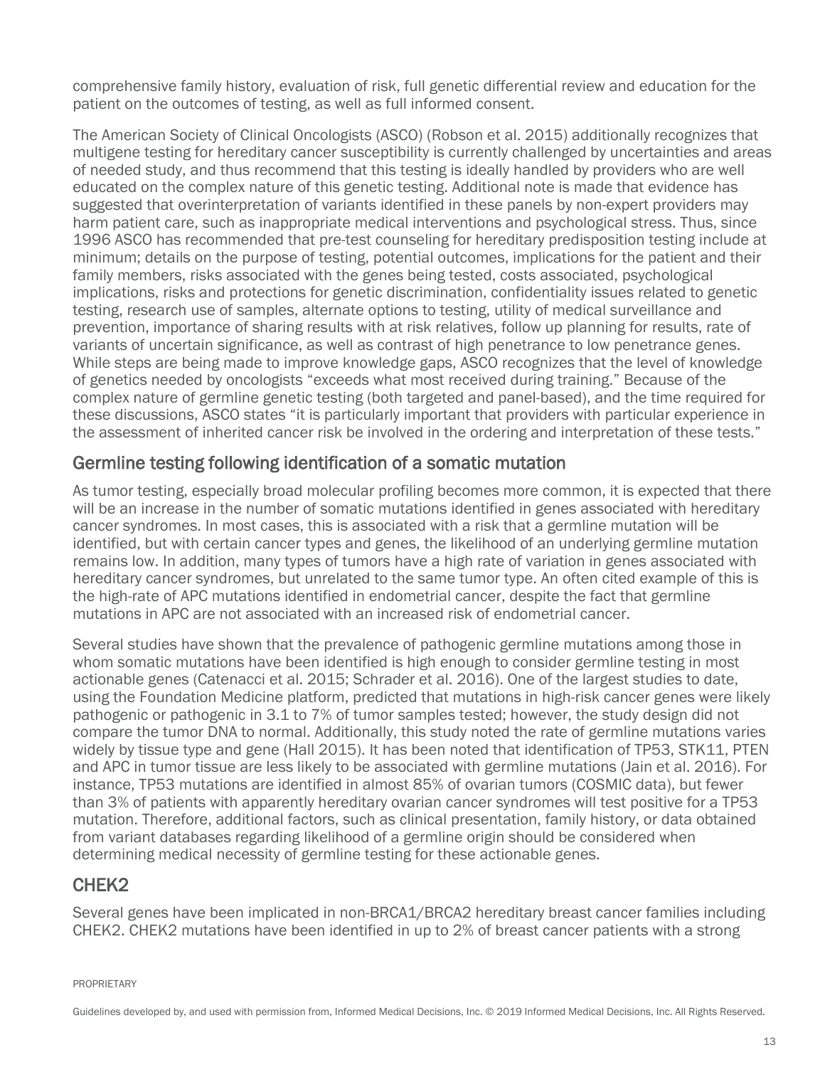comprehensive family history, evaluation of risk, full genetic differential review and education for the patient on the outcomes of testing, as well as full informed consent.

The American Society of Clinical Oncologists (ASCO) (Robson et al. 2015) additionally recognizes that multigene testing for hereditary cancer susceptibility is currently challenged by uncertainties and areas of needed study, and thus recommend that this testing is ideally handled by providers who are well educated on the complex nature of this genetic testing. Additional note is made that evidence has suggested that overinterpretation of variants identified in these panels by non-expert providers may harm patient care, such as inappropriate medical interventions and psychological stress. Thus, since 1996 ASCO has recommended that pre-test counseling for hereditary predisposition testing include at minimum; details on the purpose of testing, potential outcomes, implications for the patient and their family members, risks associated with the genes being tested, costs associated, psychological implications, risks and protections for genetic discrimination, confidentiality issues related to genetic testing, research use of samples, alternate options to testing, utility of medical surveillance and prevention, importance of sharing results with at risk relatives, follow up planning for results, rate of variants of uncertain significance, as well as contrast of high penetrance to low penetrance genes. While steps are being made to improve knowledge gaps, ASCO recognizes that the level of knowledge of genetics needed by oncologists "exceeds what most received during training." Because of the complex nature of germline genetic testing (both targeted and panel-based), and the time required for these discussions, ASCO states "it is particularly important that providers with particular experience in the assessment of inherited cancer risk be involved in the ordering and interpretation of these tests."

#### <span id="page-12-0"></span>Germline testing following identification of a somatic mutation

As tumor testing, especially broad molecular profiling becomes more common, it is expected that there will be an increase in the number of somatic mutations identified in genes associated with hereditary cancer syndromes. In most cases, this is associated with a risk that a germline mutation will be identified, but with certain cancer types and genes, the likelihood of an underlying germline mutation remains low. In addition, many types of tumors have a high rate of variation in genes associated with hereditary cancer syndromes, but unrelated to the same tumor type. An often cited example of this is the high-rate of APC mutations identified in endometrial cancer, despite the fact that germline mutations in APC are not associated with an increased risk of endometrial cancer.

Several studies have shown that the prevalence of pathogenic germline mutations among those in whom somatic mutations have been identified is high enough to consider germline testing in most actionable genes (Catenacci et al. 2015; Schrader et al. 2016). One of the largest studies to date, using the Foundation Medicine platform, predicted that mutations in high-risk cancer genes were likely pathogenic or pathogenic in 3.1 to 7% of tumor samples tested; however, the study design did not compare the tumor DNA to normal. Additionally, this study noted the rate of germline mutations varies widely by tissue type and gene (Hall 2015). It has been noted that identification of TP53, STK11, PTEN and APC in tumor tissue are less likely to be associated with germline mutations (Jain et al. 2016). For instance, TP53 mutations are identified in almost 85% of ovarian tumors (COSMIC data), but fewer than 3% of patients with apparently hereditary ovarian cancer syndromes will test positive for a TP53 mutation. Therefore, additional factors, such as clinical presentation, family history, or data obtained from variant databases regarding likelihood of a germline origin should be considered when determining medical necessity of germline testing for these actionable genes.

#### <span id="page-12-1"></span>CHEK2

Several genes have been implicated in non-BRCA1/BRCA2 hereditary breast cancer families including CHEK2. CHEK2 mutations have been identified in up to 2% of breast cancer patients with a strong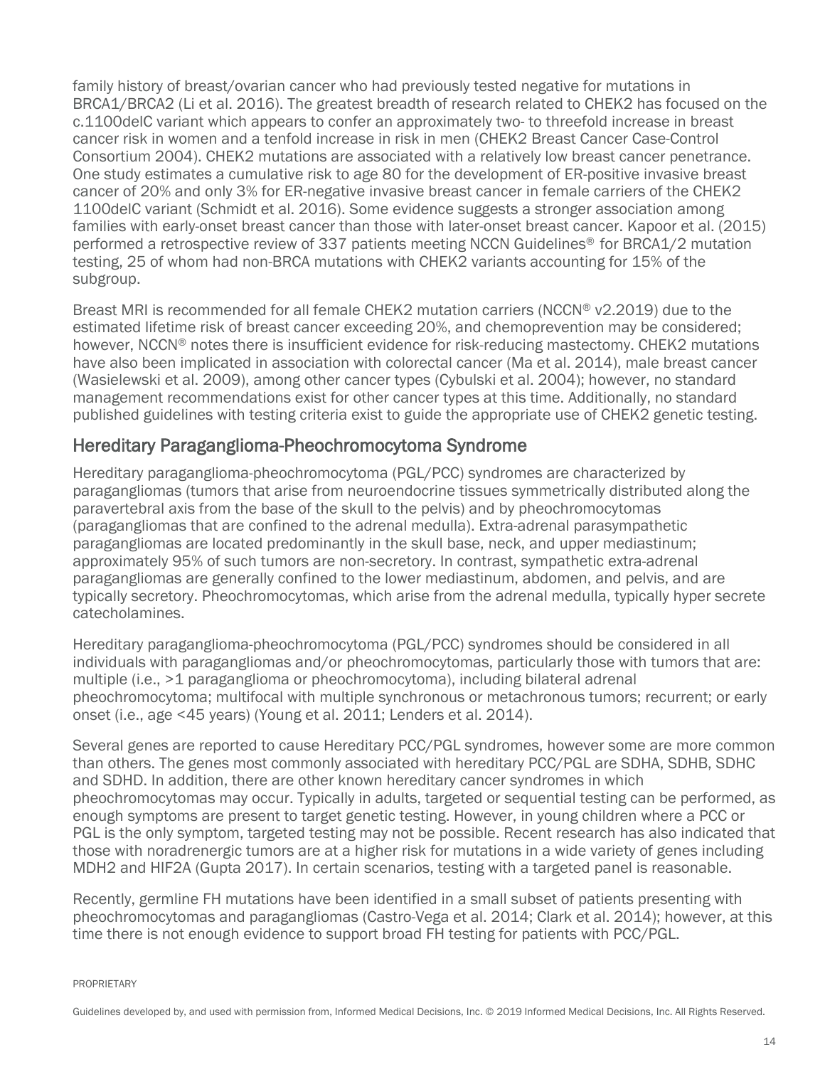family history of breast/ovarian cancer who had previously tested negative for mutations in BRCA1/BRCA2 (Li et al. 2016). The greatest breadth of research related to CHEK2 has focused on the c.1100delC variant which appears to confer an approximately two- to threefold increase in breast cancer risk in women and a tenfold increase in risk in men (CHEK2 Breast Cancer Case-Control Consortium 2004). CHEK2 mutations are associated with a relatively low breast cancer penetrance. One study estimates a cumulative risk to age 80 for the development of ER-positive invasive breast cancer of 20% and only 3% for ER-negative invasive breast cancer in female carriers of the CHEK2 1100delC variant (Schmidt et al. 2016). Some evidence suggests a stronger association among families with early-onset breast cancer than those with later-onset breast cancer. Kapoor et al. (2015) performed a retrospective review of 337 patients meeting NCCN Guidelines® for BRCA1/2 mutation testing, 25 of whom had non-BRCA mutations with CHEK2 variants accounting for 15% of the subgroup.

Breast MRI is recommended for all female CHEK2 mutation carriers (NCCN® v2.2019) due to the estimated lifetime risk of breast cancer exceeding 20%, and chemoprevention may be considered; however, NCCN<sup>®</sup> notes there is insufficient evidence for risk-reducing mastectomy. CHEK2 mutations have also been implicated in association with colorectal cancer (Ma et al. 2014), male breast cancer (Wasielewski et al. 2009), among other cancer types (Cybulski et al. 2004); however, no standard management recommendations exist for other cancer types at this time. Additionally, no standard published guidelines with testing criteria exist to guide the appropriate use of CHEK2 genetic testing.

#### <span id="page-13-0"></span>Hereditary Paraganglioma-Pheochromocytoma Syndrome

Hereditary paraganglioma-pheochromocytoma (PGL/PCC) syndromes are characterized by paragangliomas (tumors that arise from neuroendocrine tissues symmetrically distributed along the paravertebral axis from the base of the skull to the pelvis) and by pheochromocytomas (paragangliomas that are confined to the adrenal medulla). Extra-adrenal parasympathetic paragangliomas are located predominantly in the skull base, neck, and upper mediastinum; approximately 95% of such tumors are non-secretory. In contrast, sympathetic extra-adrenal paragangliomas are generally confined to the lower mediastinum, abdomen, and pelvis, and are typically secretory. Pheochromocytomas, which arise from the adrenal medulla, typically hyper secrete catecholamines.

Hereditary paraganglioma-pheochromocytoma (PGL/PCC) syndromes should be considered in all individuals with paragangliomas and/or pheochromocytomas, particularly those with tumors that are: multiple (i.e., >1 paraganglioma or pheochromocytoma), including bilateral adrenal pheochromocytoma; multifocal with multiple synchronous or metachronous tumors; recurrent; or early onset (i.e., age <45 years) (Young et al. 2011; Lenders et al. 2014).

Several genes are reported to cause Hereditary PCC/PGL syndromes, however some are more common than others. The genes most commonly associated with hereditary PCC/PGL are SDHA, SDHB, SDHC and SDHD. In addition, there are other known hereditary cancer syndromes in which pheochromocytomas may occur. Typically in adults, targeted or sequential testing can be performed, as enough symptoms are present to target genetic testing. However, in young children where a PCC or PGL is the only symptom, targeted testing may not be possible. Recent research has also indicated that those with noradrenergic tumors are at a higher risk for mutations in a wide variety of genes including MDH2 and HIF2A (Gupta 2017). In certain scenarios, testing with a targeted panel is reasonable.

Recently, germline FH mutations have been identified in a small subset of patients presenting with pheochromocytomas and paragangliomas (Castro-Vega et al. 2014; Clark et al. 2014); however, at this time there is not enough evidence to support broad FH testing for patients with PCC/PGL.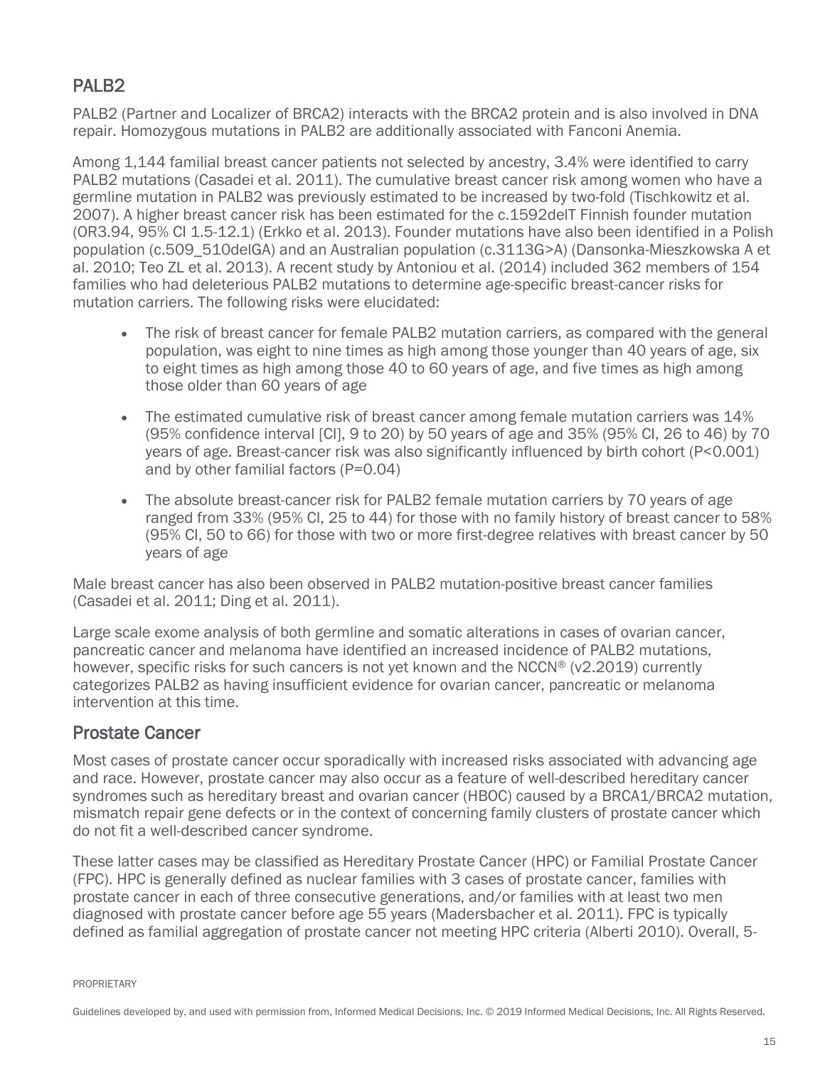#### <span id="page-14-0"></span>PAI B<sub>2</sub>

PALB2 (Partner and Localizer of BRCA2) interacts with the BRCA2 protein and is also involved in DNA repair. Homozygous mutations in PALB2 are additionally associated with Fanconi Anemia.

Among 1,144 familial breast cancer patients not selected by ancestry, 3.4% were identified to carry PALB2 mutations (Casadei et al. 2011). The cumulative breast cancer risk among women who have a germline mutation in PALB2 was previously estimated to be increased by two-fold (Tischkowitz et al. 2007). A higher breast cancer risk has been estimated for the c.1592delT Finnish founder mutation (OR3.94, 95% CI 1.5-12.1) (Erkko et al. 2013). Founder mutations have also been identified in a Polish population (c.509\_510delGA) and an Australian population (c.3113G>A) (Dansonka-Mieszkowska A et al. 2010; Teo ZL et al. 2013). A recent study by Antoniou et al. (2014) included 362 members of 154 families who had deleterious PALB2 mutations to determine age-specific breast-cancer risks for mutation carriers. The following risks were elucidated:

- The risk of breast cancer for female PALB2 mutation carriers, as compared with the general population, was eight to nine times as high among those younger than 40 years of age, six to eight times as high among those 40 to 60 years of age, and five times as high among those older than 60 years of age
- The estimated cumulative risk of breast cancer among female mutation carriers was 14% (95% confidence interval [CI], 9 to 20) by 50 years of age and 35% (95% CI, 26 to 46) by 70 years of age. Breast-cancer risk was also significantly influenced by birth cohort (P<0.001) and by other familial factors (P=0.04)
- The absolute breast-cancer risk for PALB2 female mutation carriers by 70 years of age ranged from 33% (95% CI, 25 to 44) for those with no family history of breast cancer to 58% (95% CI, 50 to 66) for those with two or more first-degree relatives with breast cancer by 50 years of age

Male breast cancer has also been observed in PALB2 mutation-positive breast cancer families (Casadei et al. 2011; Ding et al. 2011).

Large scale exome analysis of both germline and somatic alterations in cases of ovarian cancer, pancreatic cancer and melanoma have identified an increased incidence of PALB2 mutations, however, specific risks for such cancers is not yet known and the NCCN® (v2.2019) currently categorizes PALB2 as having insufficient evidence for ovarian cancer, pancreatic or melanoma intervention at this time.

#### <span id="page-14-1"></span>Prostate Cancer

Most cases of prostate cancer occur sporadically with increased risks associated with advancing age and race. However, prostate cancer may also occur as a feature of well-described hereditary cancer syndromes such as hereditary breast and ovarian cancer (HBOC) caused by a BRCA1/BRCA2 mutation, mismatch repair gene defects or in the context of concerning family clusters of prostate cancer which do not fit a well-described cancer syndrome.

These latter cases may be classified as Hereditary Prostate Cancer (HPC) or Familial Prostate Cancer (FPC). HPC is generally defined as nuclear families with 3 cases of prostate cancer, families with prostate cancer in each of three consecutive generations, and/or families with at least two men diagnosed with prostate cancer before age 55 years (Madersbacher et al. 2011). FPC is typically defined as familial aggregation of prostate cancer not meeting HPC criteria (Alberti 2010). Overall, 5-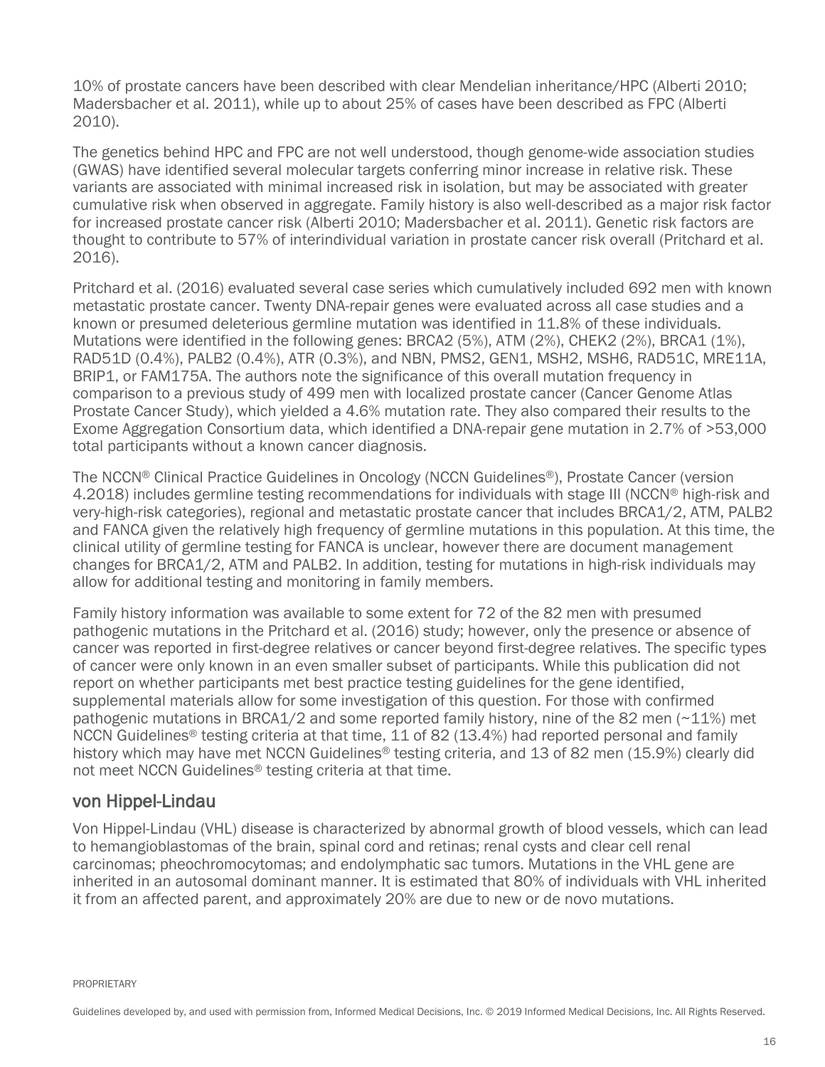10% of prostate cancers have been described with clear Mendelian inheritance/HPC (Alberti 2010; Madersbacher et al. 2011), while up to about 25% of cases have been described as FPC (Alberti 2010).

The genetics behind HPC and FPC are not well understood, though genome-wide association studies (GWAS) have identified several molecular targets conferring minor increase in relative risk. These variants are associated with minimal increased risk in isolation, but may be associated with greater cumulative risk when observed in aggregate. Family history is also well-described as a major risk factor for increased prostate cancer risk (Alberti 2010; Madersbacher et al. 2011). Genetic risk factors are thought to contribute to 57% of interindividual variation in prostate cancer risk overall (Pritchard et al. 2016).

Pritchard et al. (2016) evaluated several case series which cumulatively included 692 men with known metastatic prostate cancer. Twenty DNA-repair genes were evaluated across all case studies and a known or presumed deleterious germline mutation was identified in 11.8% of these individuals. Mutations were identified in the following genes: BRCA2 (5%), ATM (2%), CHEK2 (2%), BRCA1 (1%), RAD51D (0.4%), PALB2 (0.4%), ATR (0.3%), and NBN, PMS2, GEN1, MSH2, MSH6, RAD51C, MRE11A, BRIP1, or FAM175A. The authors note the significance of this overall mutation frequency in comparison to a previous study of 499 men with localized prostate cancer (Cancer Genome Atlas Prostate Cancer Study), which yielded a 4.6% mutation rate. They also compared their results to the Exome Aggregation Consortium data, which identified a DNA-repair gene mutation in 2.7% of >53,000 total participants without a known cancer diagnosis.

The NCCN® Clinical Practice Guidelines in Oncology (NCCN Guidelines®), Prostate Cancer (version 4.2018) includes germline testing recommendations for individuals with stage III (NCCN<sup>®</sup> high-risk and very-high-risk categories), regional and metastatic prostate cancer that includes BRCA1/2, ATM, PALB2 and FANCA given the relatively high frequency of germline mutations in this population. At this time, the clinical utility of germline testing for FANCA is unclear, however there are document management changes for BRCA1/2, ATM and PALB2. In addition, testing for mutations in high-risk individuals may allow for additional testing and monitoring in family members.

Family history information was available to some extent for 72 of the 82 men with presumed pathogenic mutations in the Pritchard et al. (2016) study; however, only the presence or absence of cancer was reported in first-degree relatives or cancer beyond first-degree relatives. The specific types of cancer were only known in an even smaller subset of participants. While this publication did not report on whether participants met best practice testing guidelines for the gene identified, supplemental materials allow for some investigation of this question. For those with confirmed pathogenic mutations in BRCA1/2 and some reported family history, nine of the 82 men  $(\sim 11\%)$  met NCCN Guidelines® testing criteria at that time, 11 of 82 (13.4%) had reported personal and family history which may have met NCCN Guidelines<sup>®</sup> testing criteria, and 13 of 82 men (15.9%) clearly did not meet NCCN Guidelines® testing criteria at that time.

#### <span id="page-15-0"></span>von Hippel-Lindau

Von Hippel-Lindau (VHL) disease is characterized by abnormal growth of blood vessels, which can lead to hemangioblastomas of the brain, spinal cord and retinas; renal cysts and clear cell renal carcinomas; pheochromocytomas; and endolymphatic sac tumors. Mutations in the VHL gene are inherited in an autosomal dominant manner. It is estimated that 80% of individuals with VHL inherited it from an affected parent, and approximately 20% are due to new or de novo mutations.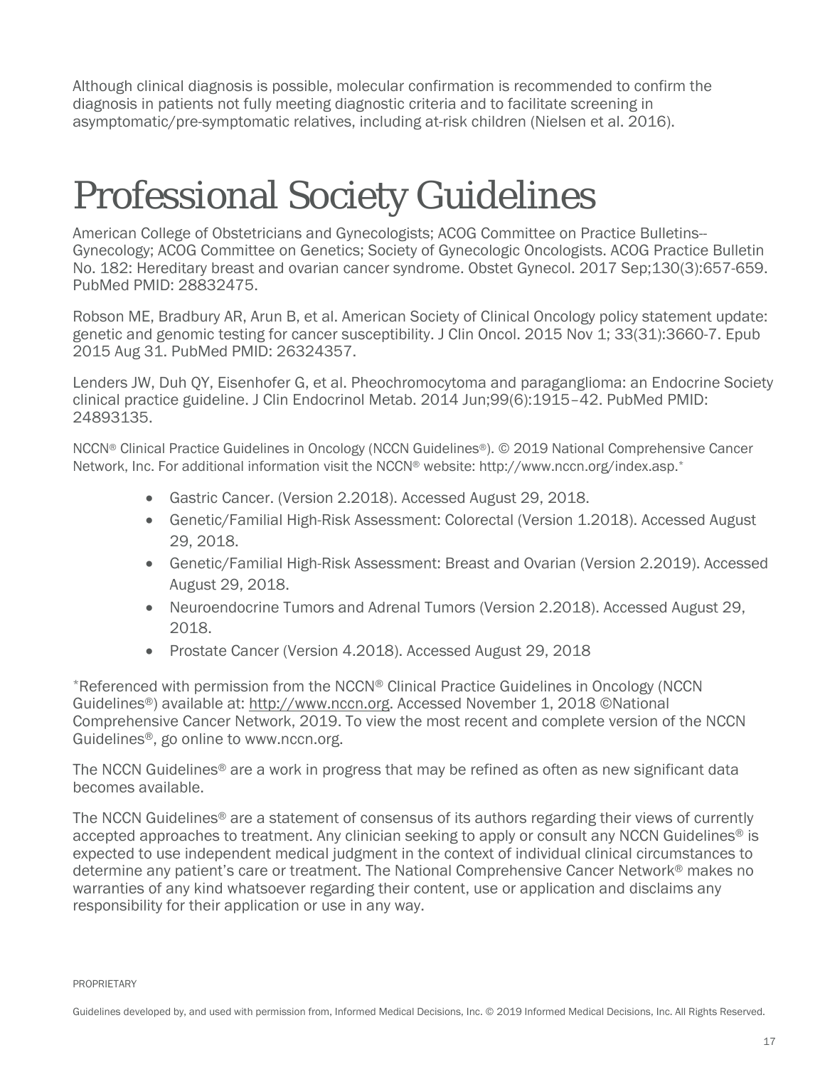Although clinical diagnosis is possible, molecular confirmation is recommended to confirm the diagnosis in patients not fully meeting diagnostic criteria and to facilitate screening in asymptomatic/pre-symptomatic relatives, including at-risk children (Nielsen et al. 2016).

## <span id="page-16-0"></span>Professional Society Guidelines

American College of Obstetricians and Gynecologists; ACOG Committee on Practice Bulletins-- Gynecology; ACOG Committee on Genetics; Society of Gynecologic Oncologists. ACOG Practice Bulletin No. 182: Hereditary breast and ovarian cancer syndrome. Obstet Gynecol. 2017 Sep;130(3):657-659. PubMed PMID: 28832475.

Robson ME, Bradbury AR, Arun B, et al. American Society of Clinical Oncology policy statement update: genetic and genomic testing for cancer susceptibility. J Clin Oncol. 2015 Nov 1; 33(31):3660-7. Epub 2015 Aug 31. PubMed PMID: 26324357.

Lenders JW, Duh QY, Eisenhofer G, et al. Pheochromocytoma and paraganglioma: an Endocrine Society clinical practice guideline. J Clin Endocrinol Metab. 2014 Jun;99(6):1915–42. PubMed PMID: 24893135.

NCCN® Clinical Practice Guidelines in Oncology (NCCN Guidelines®). © 2019 National Comprehensive Cancer Network, Inc. For additional information visit the NCCN® website: http://www.nccn.org/index.asp.\*

- Gastric Cancer. (Version 2.2018). Accessed August 29, 2018.
- Genetic/Familial High-Risk Assessment: Colorectal (Version 1.2018). Accessed August 29, 2018.
- Genetic/Familial High-Risk Assessment: Breast and Ovarian (Version 2.2019). Accessed August 29, 2018.
- Neuroendocrine Tumors and Adrenal Tumors (Version 2.2018). Accessed August 29, 2018.
- Prostate Cancer (Version 4.2018). Accessed August 29, 2018

\*Referenced with permission from the NCCN® Clinical Practice Guidelines in Oncology (NCCN Guidelines®) available at: [http://www.nccn.org.](http://www.nccn.org/) Accessed November 1, 2018 ©National Comprehensive Cancer Network, 2019. To view the most recent and complete version of the NCCN Guidelines®, go online to www.nccn.org.

The NCCN Guidelines® are a work in progress that may be refined as often as new significant data becomes available.

The NCCN Guidelines® are a statement of consensus of its authors regarding their views of currently accepted approaches to treatment. Any clinician seeking to apply or consult any NCCN Guidelines<sup>®</sup> is expected to use independent medical judgment in the context of individual clinical circumstances to determine any patient's care or treatment. The National Comprehensive Cancer Network® makes no warranties of any kind whatsoever regarding their content, use or application and disclaims any responsibility for their application or use in any way.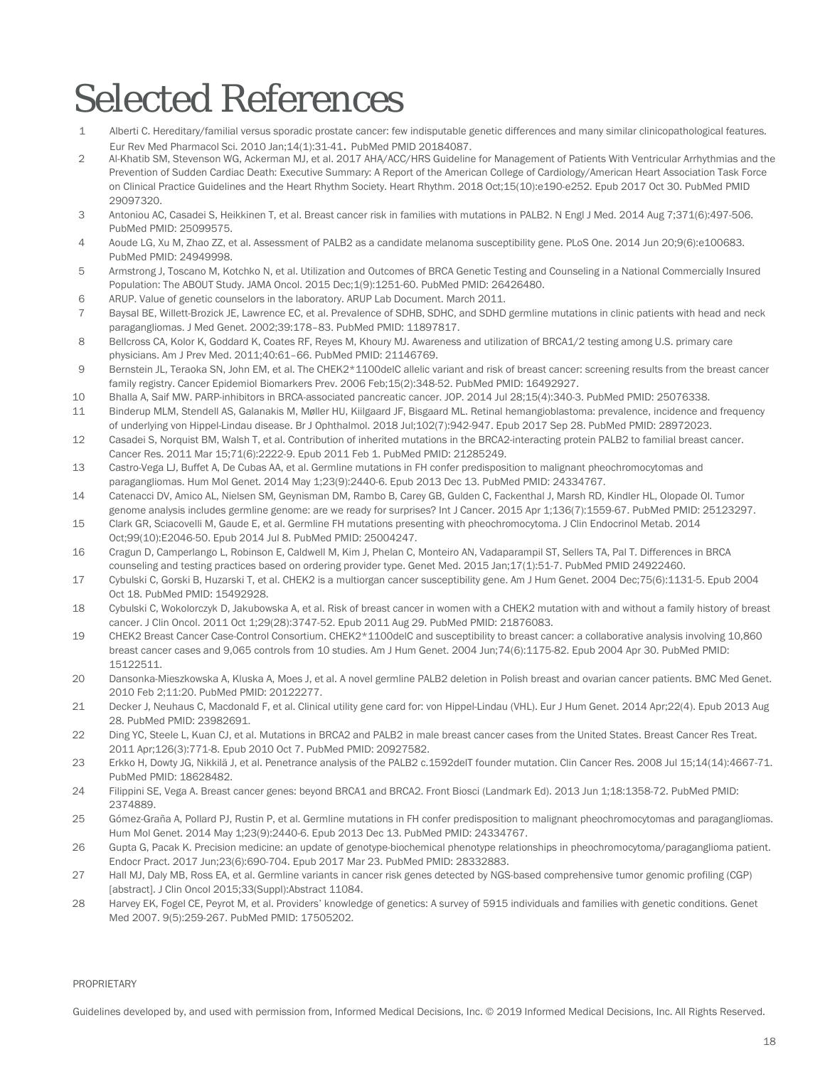# <span id="page-17-0"></span>Selected References

- 1 Alberti C. Hereditary/familial versus sporadic prostate cancer: few indisputable genetic differences and many similar clinicopathological features. Eur Rev Med Pharmacol Sci. 2010 Jan;14(1):31-41. PubMed PMID 20184087.
- 2 Al-Khatib SM, Stevenson WG, Ackerman MJ, et al. 2017 AHA/ACC/HRS Guideline for Management of Patients With Ventricular Arrhythmias and the Prevention of Sudden Cardiac Death: Executive Summary: A Report of the American College of Cardiology/American Heart Association Task Force on Clinical Practice Guidelines and the Heart Rhythm Society. Heart Rhythm. 2018 Oct;15(10):e190-e252. Epub 2017 Oct 30. PubMed PMID 29097320.
- 3 Antoniou AC, Casadei S, Heikkinen T, et al. Breast cancer risk in families with mutations in PALB2. N Engl J Med. 2014 Aug 7;371(6):497-506. PubMed PMID: 25099575.
- 4 Aoude LG, Xu M, Zhao ZZ, et al. Assessment of PALB2 as a candidate melanoma susceptibility gene. PLoS One. 2014 Jun 20;9(6):e100683. PubMed PMID: 24949998.
- 5 Armstrong J, Toscano M, Kotchko N, et al. Utilization and Outcomes of BRCA Genetic Testing and Counseling in a National Commercially Insured Population: The ABOUT Study. JAMA Oncol. 2015 Dec;1(9):1251-60. PubMed PMID: 26426480.
- 6 ARUP. Value of genetic counselors in the laboratory. ARUP Lab Document. March 2011.
- 7 Baysal BE, Willett-Brozick JE, Lawrence EC, et al. Prevalence of SDHB, SDHC, and SDHD germline mutations in clinic patients with head and neck paragangliomas. J Med Genet. 2002;39:178–83. PubMed PMID: 11897817.
- 8 Bellcross CA, Kolor K, Goddard K, Coates RF, Reyes M, Khoury MJ. Awareness and utilization of BRCA1/2 testing among U.S. primary care physicians. Am J Prev Med. 2011;40:61–66. PubMed PMID: 21146769.
- 9 Bernstein JL, Teraoka SN, John EM, et al. The CHEK2\*1100delC allelic variant and risk of breast cancer: screening results from the breast cancer family registry. Cancer Epidemiol Biomarkers Prev. 2006 Feb;15(2):348-52. PubMed PMID: 16492927.
- 10 Bhalla A, Saif MW. PARP-inhibitors in BRCA-associated pancreatic cancer. JOP. 2014 Jul 28;15(4):340-3. PubMed PMID: 25076338.
- 11 Binderup MLM, Stendell AS, Galanakis M, Møller HU, Kiilgaard JF, Bisgaard ML. Retinal hemangioblastoma: prevalence, incidence and frequency of underlying von Hippel-Lindau disease. Br J Ophthalmol. 2018 Jul;102(7):942-947. Epub 2017 Sep 28. PubMed PMID: 28972023.
- 12 Casadei S, Norquist BM, Walsh T, et al. Contribution of inherited mutations in the BRCA2-interacting protein PALB2 to familial breast cancer. Cancer Res. 2011 Mar 15;71(6):2222-9. Epub 2011 Feb 1. PubMed PMID: 21285249.
- 13 Castro-Vega LJ, Buffet A, De Cubas AA, et al. Germline mutations in FH confer predisposition to malignant pheochromocytomas and paragangliomas. Hum Mol Genet. 2014 May 1;23(9):2440-6. Epub 2013 Dec 13. PubMed PMID: 24334767.
- 14 Catenacci DV, Amico AL, Nielsen SM, Geynisman DM, Rambo B, Carey GB, Gulden C, Fackenthal J, Marsh RD, Kindler HL, Olopade OI. Tumor genome analysis includes germline genome: are we ready for surprises? Int J Cancer. 2015 Apr 1;136(7):1559-67. PubMed PMID: 25123297.
- 15 Clark GR, Sciacovelli M, Gaude E, et al. Germline FH mutations presenting with pheochromocytoma. J Clin Endocrinol Metab. 2014 Oct;99(10):E2046-50. Epub 2014 Jul 8. PubMed PMID: 25004247.
- 16 Cragun D, Camperlango L, Robinson E, Caldwell M, Kim J, Phelan C, Monteiro AN, Vadaparampil ST, Sellers TA, Pal T. Differences in BRCA counseling and testing practices based on ordering provider type. Genet Med. 2015 Jan;17(1):51-7. PubMed PMID 24922460.
- 17 Cybulski C, Gorski B, Huzarski T, et al. CHEK2 is a multiorgan cancer susceptibility gene. Am J Hum Genet. 2004 Dec;75(6):1131-5. Epub 2004 Oct 18. PubMed PMID: 15492928.
- 18 Cybulski C, Wokolorczyk D, Jakubowska A, et al. Risk of breast cancer in women with a CHEK2 mutation with and without a family history of breast cancer. J Clin Oncol. 2011 Oct 1;29(28):3747-52. Epub 2011 Aug 29. PubMed PMID: 21876083.
- 19 CHEK2 Breast Cancer Case-Control Consortium. CHEK2\*1100delC and susceptibility to breast cancer: a collaborative analysis involving 10,860 breast cancer cases and 9,065 controls from 10 studies. Am J Hum Genet. 2004 Jun;74(6):1175-82. Epub 2004 Apr 30. PubMed PMID: 15122511.
- 20 Dansonka-Mieszkowska A, Kluska A, Moes J, et al. A novel germline PALB2 deletion in Polish breast and ovarian cancer patients. BMC Med Genet. 2010 Feb 2;11:20. PubMed PMID: 20122277.
- 21 Decker J, Neuhaus C, Macdonald F, et al. Clinical utility gene card for: von Hippel-Lindau (VHL). Eur J Hum Genet. 2014 Apr;22(4). Epub 2013 Aug 28. PubMed PMID: 23982691.
- 22 Ding YC, Steele L, Kuan CJ, et al. Mutations in BRCA2 and PALB2 in male breast cancer cases from the United States. Breast Cancer Res Treat. 2011 Apr;126(3):771-8. Epub 2010 Oct 7. PubMed PMID: 20927582.
- 23 Erkko H, Dowty JG, Nikkilä J, et al. Penetrance analysis of the PALB2 c.1592delT founder mutation. Clin Cancer Res. 2008 Jul 15;14(14):4667-71. PubMed PMID: 18628482.
- 24 Filippini SE, Vega A. Breast cancer genes: beyond BRCA1 and BRCA2. Front Biosci (Landmark Ed). 2013 Jun 1;18:1358-72. PubMed PMID: 2374889.
- 25 Gómez-Graña A, Pollard PJ, Rustin P, et al. Germline mutations in FH confer predisposition to malignant pheochromocytomas and paragangliomas. Hum Mol Genet. 2014 May 1;23(9):2440-6. Epub 2013 Dec 13. PubMed PMID: 24334767.
- 26 Gupta G, Pacak K. Precision medicine: an update of genotype-biochemical phenotype relationships in pheochromocytoma/paraganglioma patient. Endocr Pract. 2017 Jun;23(6):690-704. Epub 2017 Mar 23. PubMed PMID: 28332883.
- 27 Hall MJ, Daly MB, Ross EA, et al. Germline variants in cancer risk genes detected by NGS-based comprehensive tumor genomic profiling (CGP) [abstract]. J Clin Oncol 2015;33(Suppl):Abstract 11084.
- 28 Harvey EK, Fogel CE, Peyrot M, et al. Providers' knowledge of genetics: A survey of 5915 individuals and families with genetic conditions. Genet Med 2007. 9(5):259-267. PubMed PMID: 17505202.

#### PROPRIETARY

Guidelines developed by, and used with permission from, Informed Medical Decisions, Inc. © 2019 Informed Medical Decisions, Inc. All Rights Reserved.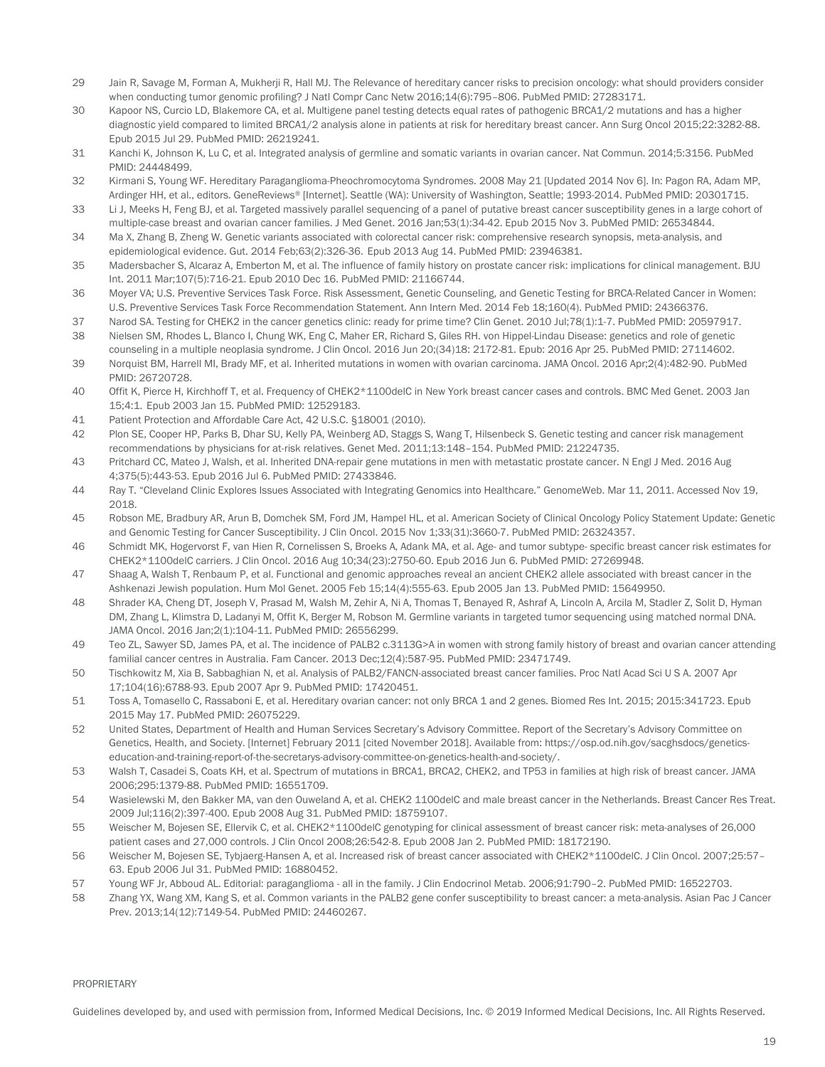- 29 Jain R, Savage M, Forman A, Mukherji R, Hall MJ. The Relevance of hereditary cancer risks to precision oncology: what should providers consider when conducting tumor genomic profiling? J Natl Compr Canc Netw 2016;14(6):795-806. PubMed PMID: 27283171.
- 30 Kapoor NS, Curcio LD, Blakemore CA, et al. Multigene panel testing detects equal rates of pathogenic BRCA1/2 mutations and has a higher diagnostic yield compared to limited BRCA1/2 analysis alone in patients at risk for hereditary breast cancer. Ann Surg Oncol 2015;22:3282-88. Epub 2015 Jul 29. PubMed PMID: 26219241.
- 31 Kanchi K, Johnson K, Lu C, et al. Integrated analysis of germline and somatic variants in ovarian cancer. Nat Commun. 2014;5:3156. PubMed PMID: 24448499.
- 32 Kirmani S, Young WF. Hereditary Paraganglioma-Pheochromocytoma Syndromes. 2008 May 21 [Updated 2014 Nov 6]. In: Pagon RA, Adam MP, Ardinger HH, et al., editors. GeneReviews® [Internet]. Seattle (WA): University of Washington, Seattle; 1993-2014. PubMed PMID: 20301715.
- 33 Li J, Meeks H, Feng BJ, et al. Targeted massively parallel sequencing of a panel of putative breast cancer susceptibility genes in a large cohort of multiple-case breast and ovarian cancer families. J Med Genet. 2016 Jan;53(1):34-42. Epub 2015 Nov 3. PubMed PMID: 26534844.
- 34 Ma X, Zhang B, Zheng W. Genetic variants associated with colorectal cancer risk: comprehensive research synopsis, meta-analysis, and epidemiological evidence. Gut. 2014 Feb;63(2):326-36. Epub 2013 Aug 14. PubMed PMID: 23946381.
- 35 Madersbacher S, Alcaraz A, Emberton M, et al. The influence of family history on prostate cancer risk: implications for clinical management. BJU Int. 2011 Mar;107(5):716-21. Epub 2010 Dec 16. PubMed PMID: 21166744.
- 36 Moyer VA; U.S. Preventive Services Task Force. Risk Assessment, Genetic Counseling, and Genetic Testing for BRCA-Related Cancer in Women: U.S. Preventive Services Task Force Recommendation Statement. Ann Intern Med. 2014 Feb 18;160(4). PubMed PMID: 24366376.
- 37 Narod SA. Testing for CHEK2 in the cancer genetics clinic: ready for prime time? Clin Genet. 2010 Jul;78(1):1-7. PubMed PMID: 20597917.
- 38 Nielsen SM, Rhodes L, Blanco I, Chung WK, Eng C, Maher ER, Richard S, Giles RH. von Hippel-Lindau Disease: genetics and role of genetic counseling in a multiple neoplasia syndrome. J Clin Oncol. 2016 Jun 20;(34)18: 2172-81. Epub: 2016 Apr 25. PubMed PMID: 27114602.
- 39 Norquist BM, Harrell MI, Brady MF, et al. Inherited mutations in women with ovarian carcinoma. JAMA Oncol. 2016 Apr;2(4):482-90. PubMed PMID: 26720728.
- 40 Offit K, Pierce H, Kirchhoff T, et al. Frequency of CHEK2\*1100delC in New York breast cancer cases and controls. BMC Med Genet. 2003 Jan 15;4:1. Epub 2003 Jan 15. PubMed PMID: 12529183.
- 41 Patient Protection and Affordable Care Act, 42 U.S.C. §18001 (2010).
- 42 Plon SE, Cooper HP, Parks B, Dhar SU, Kelly PA, Weinberg AD, Staggs S, Wang T, Hilsenbeck S. Genetic testing and cancer risk management recommendations by physicians for at-risk relatives. Genet Med. 2011;13:148–154. PubMed PMID: 21224735.
- 43 Pritchard CC, Mateo J, Walsh, et al. Inherited DNA-repair gene mutations in men with metastatic prostate cancer. N Engl J Med. 2016 Aug 4;375(5):443-53. Epub 2016 Jul 6. PubMed PMID: 27433846.
- 44 Ray T. "Cleveland Clinic Explores Issues Associated with Integrating Genomics into Healthcare." GenomeWeb. Mar 11, 2011. Accessed Nov 19, 2018.
- 45 Robson ME, Bradbury AR, Arun B, Domchek SM, Ford JM, Hampel HL, et al. American Society of Clinical Oncology Policy Statement Update: Genetic and Genomic Testing for Cancer Susceptibility. J Clin Oncol. 2015 Nov 1;33(31):3660-7. PubMed PMID: 26324357.
- 46 Schmidt MK, Hogervorst F, van Hien R, Cornelissen S, Broeks A, Adank MA, et al. Age- and tumor subtype- specific breast cancer risk estimates for CHEK2\*1100delC carriers. J Clin Oncol. 2016 Aug 10;34(23):2750-60. Epub 2016 Jun 6. PubMed PMID: 27269948.
- 47 Shaag A, Walsh T, Renbaum P, et al. Functional and genomic approaches reveal an ancient CHEK2 allele associated with breast cancer in the Ashkenazi Jewish population. Hum Mol Genet. 2005 Feb 15;14(4):555-63. Epub 2005 Jan 13. PubMed PMID: 15649950.
- 48 Shrader KA, Cheng DT, Joseph V, Prasad M, Walsh M, Zehir A, Ni A, Thomas T, Benayed R, Ashraf A, Lincoln A, Arcila M, Stadler Z, Solit D, Hyman DM, Zhang L, Klimstra D, Ladanyi M, Offit K, Berger M, Robson M. Germline variants in targeted tumor sequencing using matched normal DNA. JAMA Oncol. 2016 Jan;2(1):104-11. PubMed PMID: 26556299.
- 49 Teo ZL, Sawyer SD, James PA, et al. The incidence of PALB2 c.3113G>A in women with strong family history of breast and ovarian cancer attending familial cancer centres in Australia. Fam Cancer. 2013 Dec;12(4):587-95. PubMed PMID: 23471749.
- 50 Tischkowitz M, Xia B, Sabbaghian N, et al. Analysis of PALB2/FANCN-associated breast cancer families. Proc Natl Acad Sci U S A. 2007 Apr 17;104(16):6788-93. Epub 2007 Apr 9. PubMed PMID: 17420451.
- 51 Toss A, Tomasello C, Rassaboni E, et al. Hereditary ovarian cancer: not only BRCA 1 and 2 genes. Biomed Res Int. 2015; 2015:341723. Epub 2015 May 17. PubMed PMID: 26075229.
- 52 United States, Department of Health and Human Services Secretary's Advisory Committee. Report of the Secretary's Advisory Committee on Genetics, Health, and Society. [Internet] February 2011 [cited November 2018]. Available from: https://osp.od.nih.gov/sacghsdocs/geneticseducation-and-training-report-of-the-secretarys-advisory-committee-on-genetics-health-and-society/.
- 53 Walsh T, Casadei S, Coats KH, et al. Spectrum of mutations in BRCA1, BRCA2, CHEK2, and TP53 in families at high risk of breast cancer. JAMA 2006;295:1379-88. PubMed PMID: 16551709.
- 54 Wasielewski M, den Bakker MA, van den Ouweland A, et al. CHEK2 1100delC and male breast cancer in the Netherlands. Breast Cancer Res Treat. 2009 Jul;116(2):397-400. Epub 2008 Aug 31. PubMed PMID: 18759107.
- 55 Weischer M, Bojesen SE, Ellervik C, et al. CHEK2\*1100delC genotyping for clinical assessment of breast cancer risk: meta-analyses of 26,000 patient cases and 27,000 controls. J Clin Oncol 2008;26:542-8. Epub 2008 Jan 2. PubMed PMID: 18172190.
- 56 Weischer M, Bojesen SE, Tybjaerg-Hansen A, et al. Increased risk of breast cancer associated with CHEK2\*1100delC. J Clin Oncol. 2007;25:57– 63. Epub 2006 Jul 31. PubMed PMID: 16880452.
- 57 Young WF Jr, Abboud AL. Editorial: paraganglioma all in the family. J Clin Endocrinol Metab. 2006;91:790–2. PubMed PMID: 16522703.
- 58 Zhang YX, Wang XM, Kang S, et al. Common variants in the PALB2 gene confer susceptibility to breast cancer: a meta-analysis. Asian Pac J Cancer Prev. 2013;14(12):7149-54. PubMed PMID: 24460267.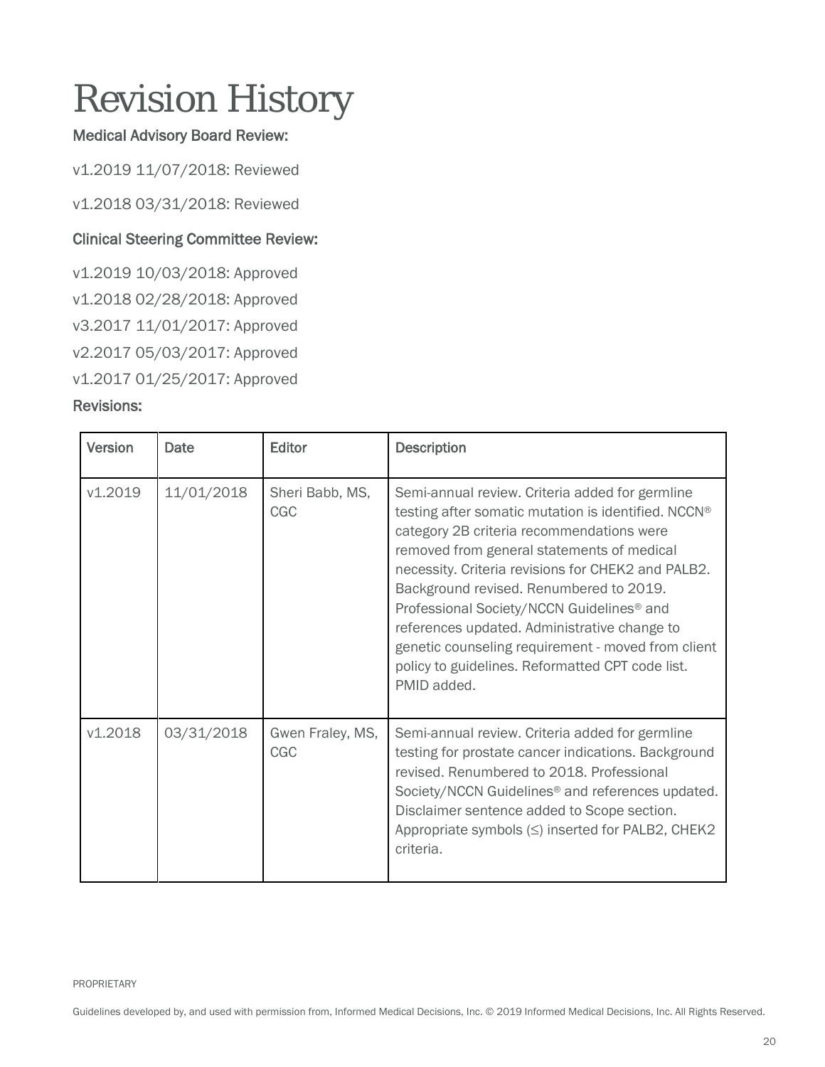# <span id="page-19-0"></span>Revision History

#### Medical Advisory Board Review:

v1.2019 11/07/2018: Reviewed

v1.2018 03/31/2018: Reviewed

#### Clinical Steering Committee Review:

v1.2019 10/03/2018: Approved v1.2018 02/28/2018: Approved v3.2017 11/01/2017: Approved

v2.2017 05/03/2017: Approved

v1.2017 01/25/2017: Approved

#### Revisions:

| <b>Version</b> | Date       | Editor                  | <b>Description</b>                                                                                                                                                                                                                                                                                                                                                                                                                                                                                                                   |
|----------------|------------|-------------------------|--------------------------------------------------------------------------------------------------------------------------------------------------------------------------------------------------------------------------------------------------------------------------------------------------------------------------------------------------------------------------------------------------------------------------------------------------------------------------------------------------------------------------------------|
| v1.2019        | 11/01/2018 | Sheri Babb, MS,<br>CGC  | Semi-annual review. Criteria added for germline<br>testing after somatic mutation is identified. NCCN®<br>category 2B criteria recommendations were<br>removed from general statements of medical<br>necessity. Criteria revisions for CHEK2 and PALB2.<br>Background revised. Renumbered to 2019.<br>Professional Society/NCCN Guidelines <sup>®</sup> and<br>references updated. Administrative change to<br>genetic counseling requirement - moved from client<br>policy to guidelines. Reformatted CPT code list.<br>PMID added. |
| v1.2018        | 03/31/2018 | Gwen Fraley, MS,<br>CGC | Semi-annual review. Criteria added for germline<br>testing for prostate cancer indications. Background<br>revised. Renumbered to 2018. Professional<br>Society/NCCN Guidelines <sup>®</sup> and references updated.<br>Disclaimer sentence added to Scope section.<br>Appropriate symbols $(\leq)$ inserted for PALB2, CHEK2<br>criteria.                                                                                                                                                                                            |